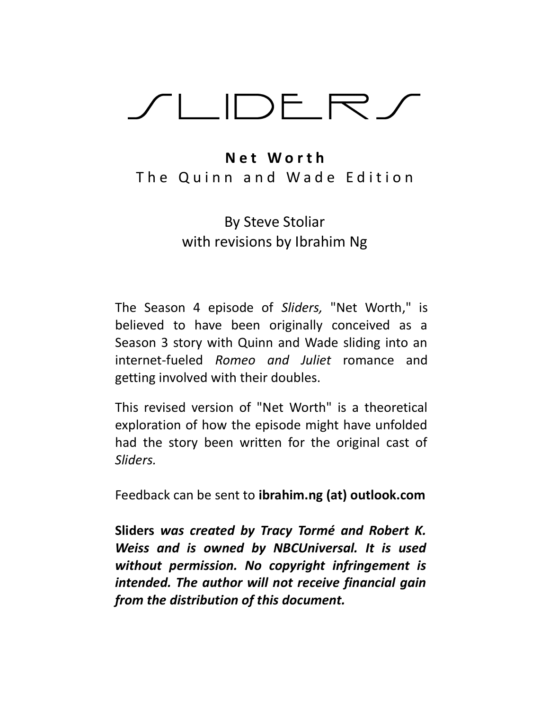# /LIDER/

# N e t W o r t h The Quinn and Wade Edition

# By Steve Stoliar with revisions by Ibrahim Ng

The Season 4 episode of Sliders, "Net Worth," is believed to have been originally conceived as a Season 3 story with Quinn and Wade sliding into an internet-fueled Romeo and Juliet romance and getting involved with their doubles.

This revised version of "Net Worth" is a theoretical exploration of how the episode might have unfolded had the story been written for the original cast of Sliders.

Feedback can be sent to ibrahim.ng (at) outlook.com

Sliders was created by Tracy Tormé and Robert K. Weiss and is owned by NBCUniversal. It is used without permission. No copyright infringement is intended. The author will not receive financial gain from the distribution of this document.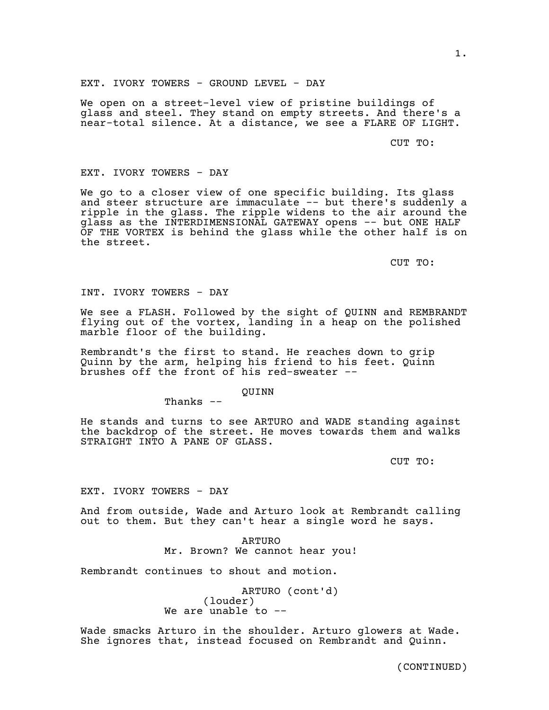We open on a street-level view of pristine buildings of glass and steel. They stand on empty streets. And there's a near-total silence. At a distance, we see a FLARE OF LIGHT.

CUT TO:

# EXT. IVORY TOWERS - DAY

We go to a closer view of one specific building. Its glass and steer structure are immaculate -- but there's suddenly a ripple in the glass. The ripple widens to the air around the glass as the INTERDIMENSIONAL GATEWAY opens -- but ONE HALF OF THE VORTEX is behind the glass while the other half is on the street.

CUT TO:

INT. IVORY TOWERS - DAY

We see a FLASH. Followed by the sight of QUINN and REMBRANDT flying out of the vortex, landing in a heap on the polished marble floor of the building.

Rembrandt's the first to stand. He reaches down to grip Quinn by the arm, helping his friend to his feet. Quinn brushes off the front of his red-sweater --

QUINN

Thanks --

He stands and turns to see ARTURO and WADE standing against the backdrop of the street. He moves towards them and walks STRAIGHT INTO A PANE OF GLASS.

CUT TO:

EXT. IVORY TOWERS - DAY

And from outside, Wade and Arturo look at Rembrandt calling out to them. But they can't hear a single word he says.

> ARTURO Mr. Brown? We cannot hear you!

Rembrandt continues to shout and motion.

ARTURO (cont'd) (louder) We are unable to --

Wade smacks Arturo in the shoulder. Arturo glowers at Wade. She ignores that, instead focused on Rembrandt and Quinn.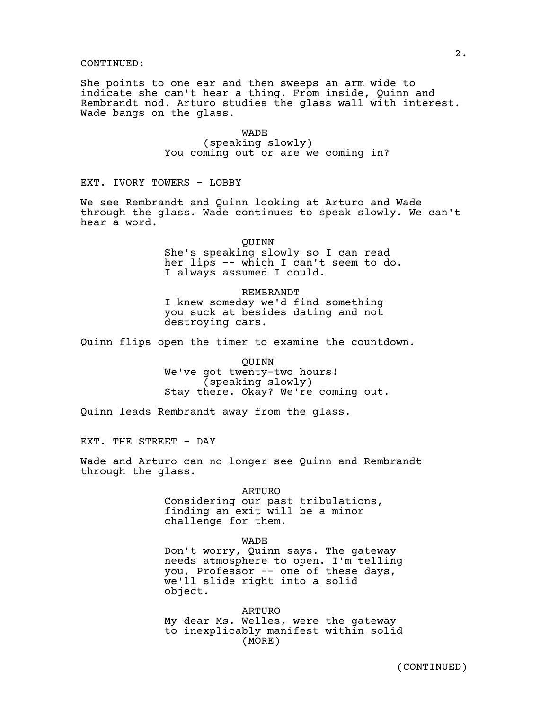She points to one ear and then sweeps an arm wide to indicate she can't hear a thing. From inside, Quinn and Rembrandt nod. Arturo studies the glass wall with interest. Wade bangs on the glass.

> WADE (speaking slowly) You coming out or are we coming in?

EXT. IVORY TOWERS - LOBBY

We see Rembrandt and Quinn looking at Arturo and Wade through the glass. Wade continues to speak slowly. We can't hear a word.

> QUINN She's speaking slowly so I can read her lips -- which I can't seem to do. I always assumed I could.

REMBRANDT I knew someday we'd find something you suck at besides dating and not destroying cars.

Quinn flips open the timer to examine the countdown.

QUINN We've got twenty-two hours! (speaking slowly) Stay there. Okay? We're coming out.

Quinn leads Rembrandt away from the glass.

EXT. THE STREET - DAY

Wade and Arturo can no longer see Quinn and Rembrandt through the glass.

> ARTURO Considering our past tribulations, finding an exit will be a minor challenge for them.

WADE Don't worry, Quinn says. The gateway needs atmosphere to open. I'm telling you, Professor -- one of these days, we'll slide right into a solid object.

ARTURO My dear Ms. Welles, were the gateway to inexplicably manifest within solid (MORE)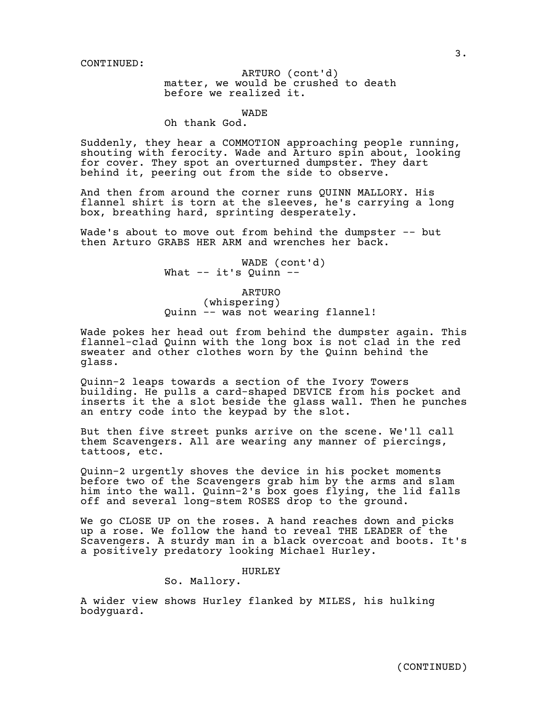# matter, we would be crushed to death ARTURO (cont'd) before we realized it.

WADE

Oh thank God.

Suddenly, they hear a COMMOTION approaching people running, shouting with ferocity. Wade and Arturo spin about, looking for cover. They spot an overturned dumpster. They dart behind it, peering out from the side to observe.

And then from around the corner runs QUINN MALLORY. His flannel shirt is torn at the sleeves, he's carrying a long box, breathing hard, sprinting desperately.

Wade's about to move out from behind the dumpster -- but then Arturo GRABS HER ARM and wrenches her back.

> WADE (cont'd) What  $--$  it's Quinn  $--$

> > ARTURO

(whispering) Quinn -- was not wearing flannel!

Wade pokes her head out from behind the dumpster again. This flannel-clad Quinn with the long box is not clad in the red sweater and other clothes worn by the Quinn behind the glass.

Quinn-2 leaps towards a section of the Ivory Towers building. He pulls a card-shaped DEVICE from his pocket and inserts it the a slot beside the glass wall. Then he punches an entry code into the keypad by the slot.

But then five street punks arrive on the scene. We'll call them Scavengers. All are wearing any manner of piercings, tattoos, etc.

Quinn-2 urgently shoves the device in his pocket moments before two of the Scavengers grab him by the arms and slam him into the wall. Quinn-2's box goes flying, the lid falls off and several long-stem ROSES drop to the ground.

We go CLOSE UP on the roses. A hand reaches down and picks up a rose. We follow the hand to reveal THE LEADER of the Scavengers. A sturdy man in a black overcoat and boots. It's a positively predatory looking Michael Hurley.

# HURLEY

So. Mallory.

A wider view shows Hurley flanked by MILES, his hulking bodyguard.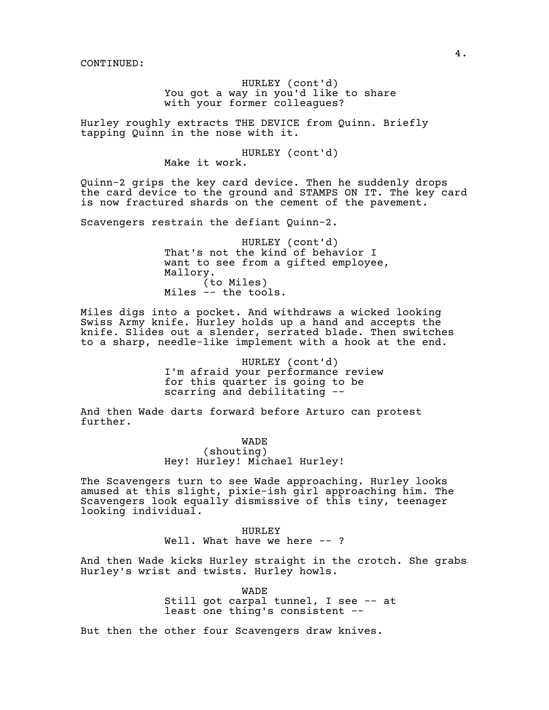HURLEY (cont'd) You got a way in you'd like to share with your former colleagues?

Hurley roughly extracts THE DEVICE from Quinn. Briefly tapping Quinn in the nose with it.

HURLEY (cont'd)

Make it work.

Quinn-2 grips the key card device. Then he suddenly drops the card device to the ground and STAMPS ON IT. The key card is now fractured shards on the cement of the pavement.

Scavengers restrain the defiant Quinn-2.

HURLEY (cont'd) That's not the kind of behavior I want to see from a gifted employee, Mallory. (to Miles) Miles -- the tools.

Miles digs into a pocket. And withdraws a wicked looking Swiss Army knife. Hurley holds up a hand and accepts the knife. Slides out a slender, serrated blade. Then switches to a sharp, needle-like implement with a hook at the end.

> HURLEY (cont'd) I'm afraid your performance review for this quarter is going to be scarring and debilitating --

And then Wade darts forward before Arturo can protest further.

> WADE (shouting) Hey! Hurley! Michael Hurley!

The Scavengers turn to see Wade approaching. Hurley looks amused at this slight, pixie-ish girl approaching him. The Scavengers look equally dismissive of this tiny, teenager looking individual.

> HURLEY Well. What have we here --?

And then Wade kicks Hurley straight in the crotch. She grabs Hurley's wrist and twists. Hurley howls.

WADE

Still got carpal tunnel, I see -- at least one thing's consistent --

But then the other four Scavengers draw knives.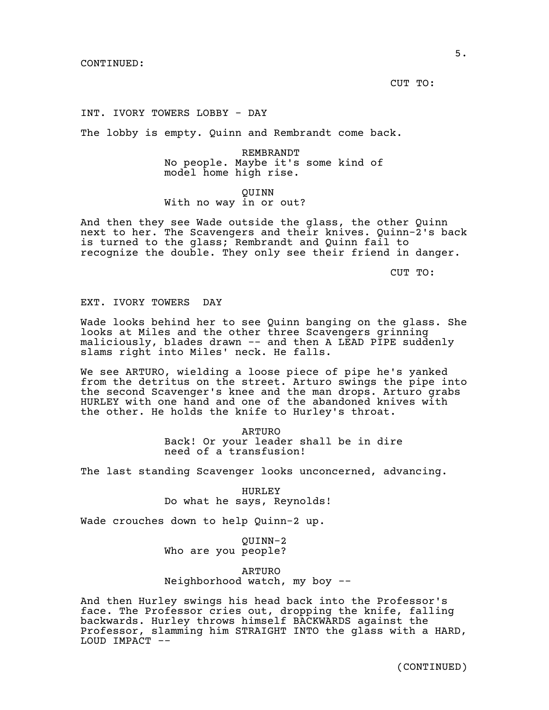CUT TO:

INT. IVORY TOWERS LOBBY - DAY

The lobby is empty. Quinn and Rembrandt come back.

REMBRANDT No people. Maybe it's some kind of model home high rise.

QUINN With no way in or out?

And then they see Wade outside the glass, the other Quinn next to her. The Scavengers and their knives. Quinn-2's back is turned to the glass; Rembrandt and Quinn fail to recognize the double. They only see their friend in danger.

CUT TO:

EXT. IVORY TOWERS DAY

Wade looks behind her to see Quinn banging on the glass. She looks at Miles and the other three Scavengers grinning maliciously, blades drawn -- and then A LEAD PIPE suddenly slams right into Miles' neck. He falls.

We see ARTURO, wielding a loose piece of pipe he's yanked from the detritus on the street. Arturo swings the pipe into the second Scavenger's knee and the man drops. Arturo grabs HURLEY with one hand and one of the abandoned knives with the other. He holds the knife to Hurley's throat.

> ARTURO Back! Or your leader shall be in dire need of a transfusion!

The last standing Scavenger looks unconcerned, advancing.

HURLEY Do what he says, Reynolds!

Wade crouches down to help Quinn-2 up.

QUINN-2 Who are you people?

ARTURO Neighborhood watch, my boy --

And then Hurley swings his head back into the Professor's face. The Professor cries out, dropping the knife, falling backwards. Hurley throws himself BACKWARDS against the Professor, slamming him STRAIGHT INTO the glass with a HARD, LOUD IMPACT --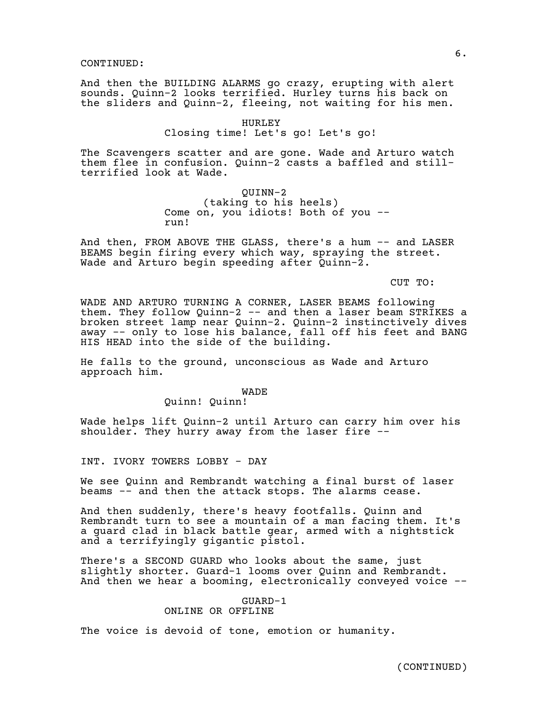And then the BUILDING ALARMS go crazy, erupting with alert sounds. Quinn-2 looks terrified. Hurley turns his back on the sliders and Quinn-2, fleeing, not waiting for his men.

# HURLEY Closing time! Let's go! Let's go!

The Scavengers scatter and are gone. Wade and Arturo watch them flee in confusion. Quinn-2 casts a baffled and stillterrified look at Wade.

# QUINN-2 (taking to his heels) Come on, you idiots! Both of you - run!

And then, FROM ABOVE THE GLASS, there's a hum -- and LASER BEAMS begin firing every which way, spraying the street. Wade and Arturo begin speeding after Quinn-2.

CUT TO:

WADE AND ARTURO TURNING A CORNER, LASER BEAMS following them. They follow Quinn-2 -- and then a laser beam STRIKES a broken street lamp near Quinn-2. Quinn-2 instinctively dives away -- only to lose his balance, fall off his feet and BANG HIS HEAD into the side of the building.

He falls to the ground, unconscious as Wade and Arturo approach him.

# WADE

Quinn! Quinn!

Wade helps lift Quinn-2 until Arturo can carry him over his shoulder. They hurry away from the laser fire --

INT. IVORY TOWERS LOBBY - DAY

We see Quinn and Rembrandt watching a final burst of laser beams -- and then the attack stops. The alarms cease.

And then suddenly, there's heavy footfalls. Quinn and Rembrandt turn to see a mountain of a man facing them. It's a guard clad in black battle gear, armed with a nightstick and a terrifyingly gigantic pistol.

There's a SECOND GUARD who looks about the same, just slightly shorter. Guard-1 looms over Quinn and Rembrandt. And then we hear a booming, electronically conveyed voice --

# GUARD-1

# ONLINE OR OFFLINE

The voice is devoid of tone, emotion or humanity.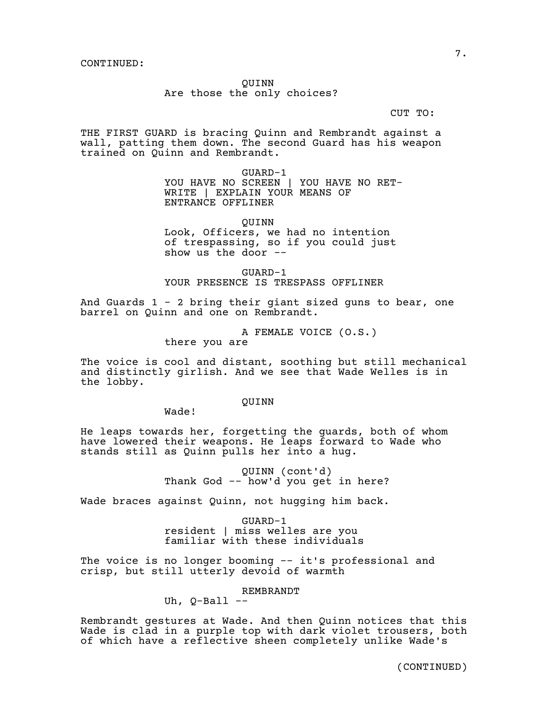QUINN

Are those the only choices?

CUT TO:

THE FIRST GUARD is bracing Quinn and Rembrandt against a wall, patting them down. The second Guard has his weapon trained on Quinn and Rembrandt.

> GUARD-1 YOU HAVE NO SCREEN | YOU HAVE NO RET-WRITE | EXPLAIN YOUR MEANS OF ENTRANCE OFFLINER

> > QUINN

Look, Officers, we had no intention of trespassing, so if you could just show us the door --

GUARD-1 YOUR PRESENCE IS TRESPASS OFFLINER

And Guards  $1 - 2$  bring their giant sized guns to bear, one barrel on Quinn and one on Rembrandt.

> A FEMALE VOICE (O.S.) there you are

The voice is cool and distant, soothing but still mechanical and distinctly girlish. And we see that Wade Welles is in the lobby.

QUINN

Wade!

He leaps towards her, forgetting the guards, both of whom have lowered their weapons. He leaps forward to Wade who stands still as Quinn pulls her into a hug.

> QUINN (cont'd) Thank God -- how'd you get in here?

Wade braces against Quinn, not hugging him back.

GUARD-1 resident | miss welles are you familiar with these individuals

The voice is no longer booming -- it's professional and crisp, but still utterly devoid of warmth

REMBRANDT

Uh,  $Q-Ball$  --

Rembrandt gestures at Wade. And then Quinn notices that this Wade is clad in a purple top with dark violet trousers, both of which have a reflective sheen completely unlike Wade's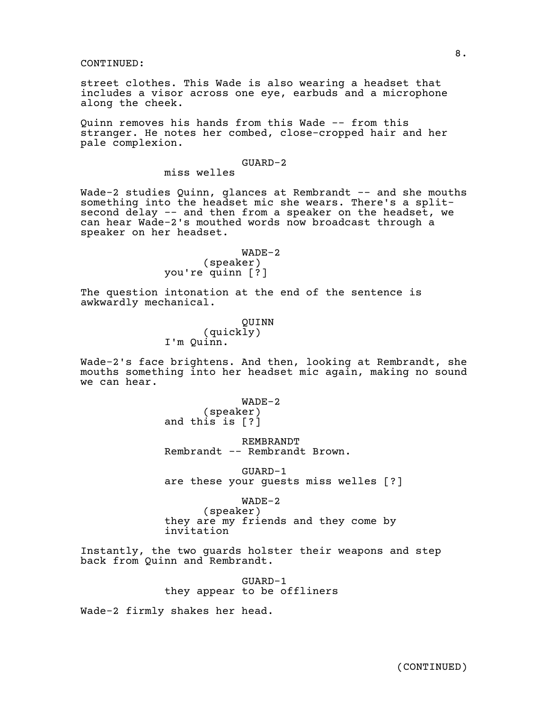street clothes. This Wade is also wearing a headset that includes a visor across one eye, earbuds and a microphone along the cheek.

Quinn removes his hands from this Wade -- from this stranger. He notes her combed, close-cropped hair and her pale complexion.

# GUARD-2

miss welles

Wade-2 studies Quinn, qlances at Rembrandt -- and she mouths something into the headset mic she wears. There's a splitsecond delay -- and then from a speaker on the headset, we can hear Wade-2's mouthed words now broadcast through a speaker on her headset.

> WADE-2 (speaker) you're quinn [?]

The question intonation at the end of the sentence is awkwardly mechanical.

> QUINN (quickly) I'm Quinn.

Wade-2's face brightens. And then, looking at Rembrandt, she mouths something into her headset mic again, making no sound we can hear.

> WADE-2 (speaker) and this is [?]

REMBRANDT Rembrandt -- Rembrandt Brown.

GUARD-1 are these your guests miss welles [?]

WADE-2 (speaker) they are my friends and they come by invitation

Instantly, the two guards holster their weapons and step back from Quinn and Rembrandt.

> GUARD-1 they appear to be offliners

Wade-2 firmly shakes her head.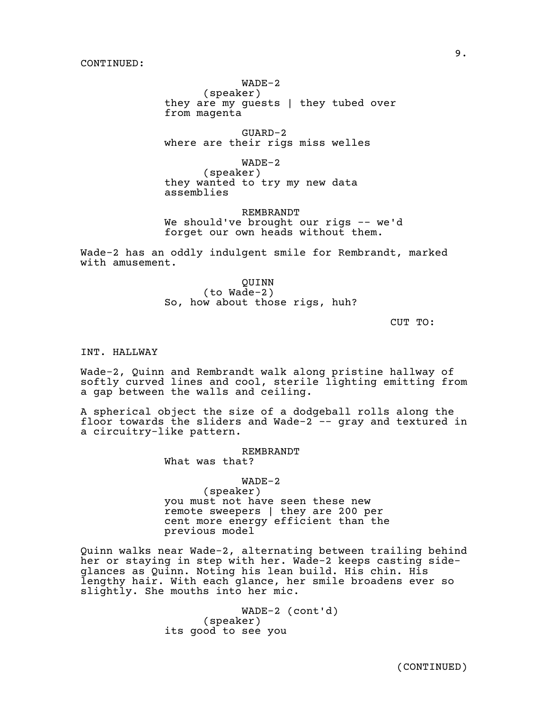WADE-2

(speaker) they are my guests | they tubed over from magenta

GUARD-2 where are their rigs miss welles

WADE-2 (speaker) they wanted to try my new data assemblies

REMBRANDT We should've brought our rigs -- we'd forget our own heads without them.

Wade-2 has an oddly indulgent smile for Rembrandt, marked with amusement.

> QUINN (to Wade-2) So, how about those rigs, huh?

> > CUT TO:

INT. HALLWAY

Wade-2, Quinn and Rembrandt walk along pristine hallway of softly curved lines and cool, sterile lighting emitting from a gap between the walls and ceiling.

A spherical object the size of a dodgeball rolls along the floor towards the sliders and Wade- $2$  -- gray and textured in a circuitry-like pattern.

REMBRANDT

What was that?

WADE-2

(speaker) you must not have seen these new remote sweepers | they are 200 per cent more energy efficient than the previous model

Quinn walks near Wade-2, alternating between trailing behind her or staying in step with her. Wade-2 keeps casting sideglances as Quinn. Noting his lean build. His chin. His lengthy hair. With each glance, her smile broadens ever so slightly. She mouths into her mic.

> WADE-2 (cont'd) (speaker) its good to see you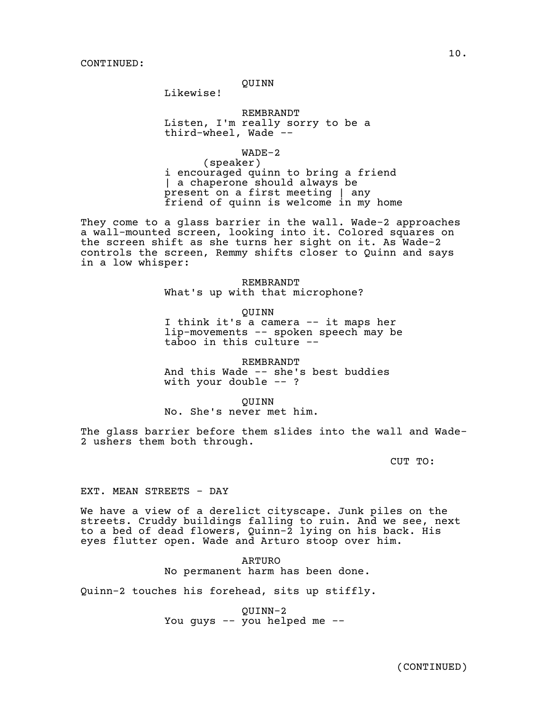# QUINN

Likewise!

REMBRANDT Listen, I'm really sorry to be a third-wheel, Wade --

WADE-2

(speaker) i encouraged quinn to bring a friend | a chaperone should always be present on a first meeting | any friend of quinn is welcome in my home

They come to a glass barrier in the wall. Wade-2 approaches a wall-mounted screen, looking into it. Colored squares on the screen shift as she turns her sight on it. As Wade-2 controls the screen, Remmy shifts closer to Quinn and says in a low whisper:

> REMBRANDT What's up with that microphone?

> > QUINN

I think it's a camera -- it maps her lip-movements -- spoken speech may be taboo in this culture --

REMBRANDT And this Wade -- she's best buddies with your double  $--$  ?

QUINN No. She's never met him.

The glass barrier before them slides into the wall and Wade-2 ushers them both through.

CUT TO:

EXT. MEAN STREETS - DAY

We have a view of a derelict cityscape. Junk piles on the streets. Cruddy buildings falling to ruin. And we see, next to a bed of dead flowers, Quinn-2 lying on his back. His eyes flutter open. Wade and Arturo stoop over him.

> ARTURO No permanent harm has been done.

Quinn-2 touches his forehead, sits up stiffly.

QUINN-2 You guys -- you helped me --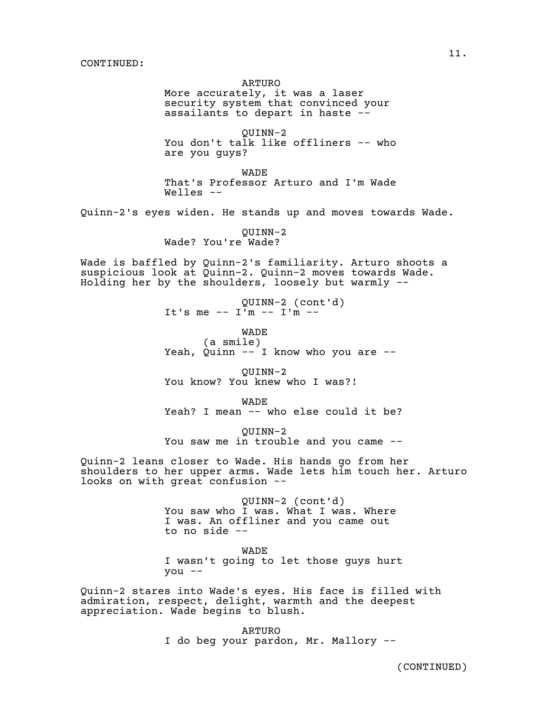#### ARTURO

More accurately, it was a laser security system that convinced your assailants to depart in haste --

QUINN-2 You don't talk like offliners -- who are you guys?

WADE That's Professor Arturo and I'm Wade  $Well$ les  $-$ 

Quinn-2's eyes widen. He stands up and moves towards Wade.

QUINN-2 Wade? You're Wade?

Wade is baffled by Quinn-2's familiarity. Arturo shoots a suspicious look at Quinn-2. Quinn-2 moves towards Wade. Holding her by the shoulders, loosely but warmly --

> QUINN-2 (cont'd) It's me -- I'm -- I'm --

WADE (a smile) Yeah, Quinn  $-$  I know who you are  $-$ 

QUINN-2 You know? You knew who I was?!

WADE Yeah? I mean -- who else could it be?

QUINN-2 You saw me in trouble and you came --

Quinn-2 leans closer to Wade. His hands go from her shoulders to her upper arms. Wade lets him touch her. Arturo looks on with great confusion --

> QUINN-2 (cont'd) You saw who I was. What I was. Where I was. An offliner and you came out to no side --

WADE I wasn't going to let those guys hurt you --

Quinn-2 stares into Wade's eyes. His face is filled with admiration, respect, delight, warmth and the deepest appreciation. Wade begins to blush.

> ARTURO I do beg your pardon, Mr. Mallory --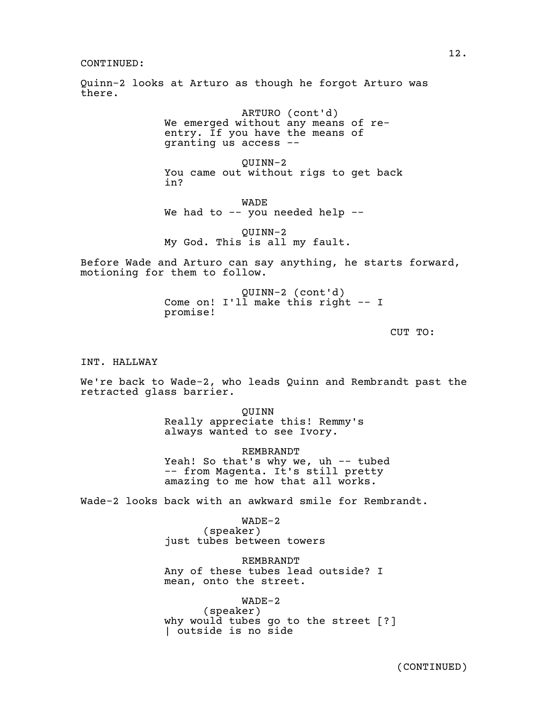Quinn-2 looks at Arturo as though he forgot Arturo was there.

> ARTURO (cont'd) We emerged without any means of reentry. If you have the means of granting us access --

QUINN-2 You came out without rigs to get back in?

WADE We had to  $-$  you needed help  $-$ 

QUINN-2 My God. This is all my fault.

Before Wade and Arturo can say anything, he starts forward, motioning for them to follow.

> QUINN-2 (cont'd) Come on! I'll make this right -- I promise!

> > CUT TO:

INT. HALLWAY

We're back to Wade-2, who leads Quinn and Rembrandt past the retracted glass barrier.

> QUINN Really appreciate this! Remmy's always wanted to see Ivory.

REMBRANDT Yeah! So that's why we, uh -- tubed -- from Magenta. It's still pretty amazing to me how that all works.

Wade-2 looks back with an awkward smile for Rembrandt.

WADE-2 (speaker) just tubes between towers

REMBRANDT Any of these tubes lead outside? I mean, onto the street.

WADE-2 (speaker) why would tubes go to the street [?] | outside is no side

12.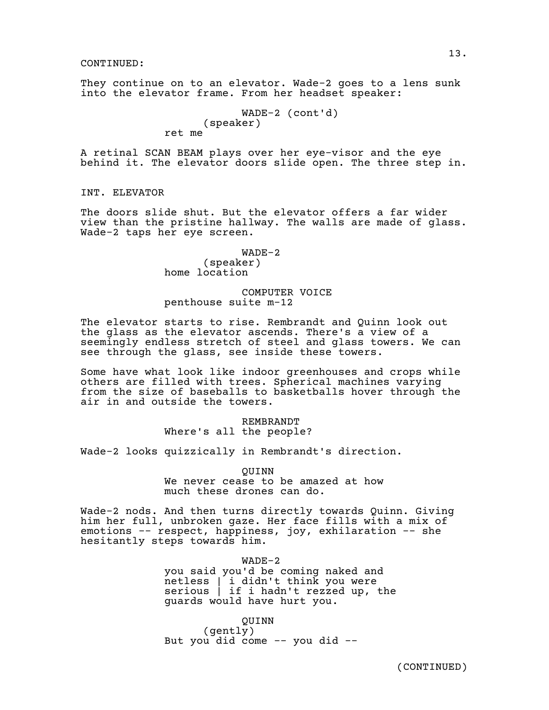They continue on to an elevator. Wade-2 goes to a lens sunk into the elevator frame. From her headset speaker:

WADE-2 (cont'd) (speaker) ret me

A retinal SCAN BEAM plays over her eye-visor and the eye behind it. The elevator doors slide open. The three step in.

# INT. ELEVATOR

The doors slide shut. But the elevator offers a far wider view than the pristine hallway. The walls are made of glass. Wade-2 taps her eye screen.

# WADE-2 (speaker) home location

# COMPUTER VOICE penthouse suite m-12

The elevator starts to rise. Rembrandt and Quinn look out the glass as the elevator ascends. There's a view of a seemingly endless stretch of steel and glass towers. We can see through the glass, see inside these towers.

Some have what look like indoor greenhouses and crops while others are filled with trees. Spherical machines varying from the size of baseballs to basketballs hover through the air in and outside the towers.

> REMBRANDT Where's all the people?

Wade-2 looks quizzically in Rembrandt's direction.

QUINN

We never cease to be amazed at how much these drones can do.

Wade-2 nods. And then turns directly towards Quinn. Giving him her full, unbroken gaze. Her face fills with a mix of emotions -- respect, happiness, joy, exhilaration -- she hesitantly steps towards him.

> WADE-2 you said you'd be coming naked and netless | i didn't think you were serious | if i hadn't rezzed up, the guards would have hurt you.

QUINN (gently) But you did come -- you did --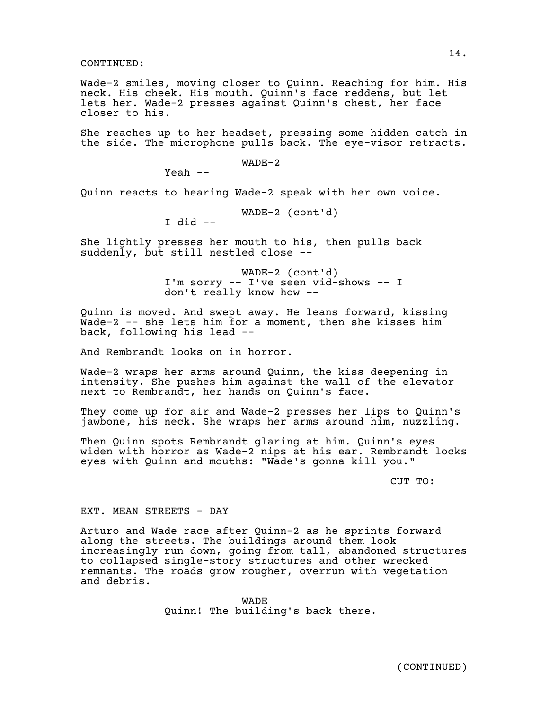Wade-2 smiles, moving closer to Quinn. Reaching for him. His neck. His cheek. His mouth. Quinn's face reddens, but let lets her. Wade-2 presses against Quinn's chest, her face closer to his.

She reaches up to her headset, pressing some hidden catch in the side. The microphone pulls back. The eye-visor retracts.

WADE-2

Yeah --

Quinn reacts to hearing Wade-2 speak with her own voice.

WADE-2 (cont'd)

I did --

She lightly presses her mouth to his, then pulls back suddenly, but still nestled close --

> WADE-2 (cont'd) I'm sorry -- I've seen vid-shows -- I don't really know how --

Quinn is moved. And swept away. He leans forward, kissing Wade-2 -- she lets him for a moment, then she kisses him back, following his lead --

And Rembrandt looks on in horror.

Wade-2 wraps her arms around Quinn, the kiss deepening in intensity. She pushes him against the wall of the elevator next to Rembrandt, her hands on Quinn's face.

They come up for air and Wade-2 presses her lips to Quinn's jawbone, his neck. She wraps her arms around him, nuzzling.

Then Quinn spots Rembrandt glaring at him. Quinn's eyes widen with horror as Wade-2 nips at his ear. Rembrandt locks eyes with Quinn and mouths: "Wade's gonna kill you."

CUT TO:

EXT. MEAN STREETS - DAY

Arturo and Wade race after Quinn-2 as he sprints forward along the streets. The buildings around them look increasingly run down, going from tall, abandoned structures to collapsed single-story structures and other wrecked remnants. The roads grow rougher, overrun with vegetation and debris.

> WADE Quinn! The building's back there.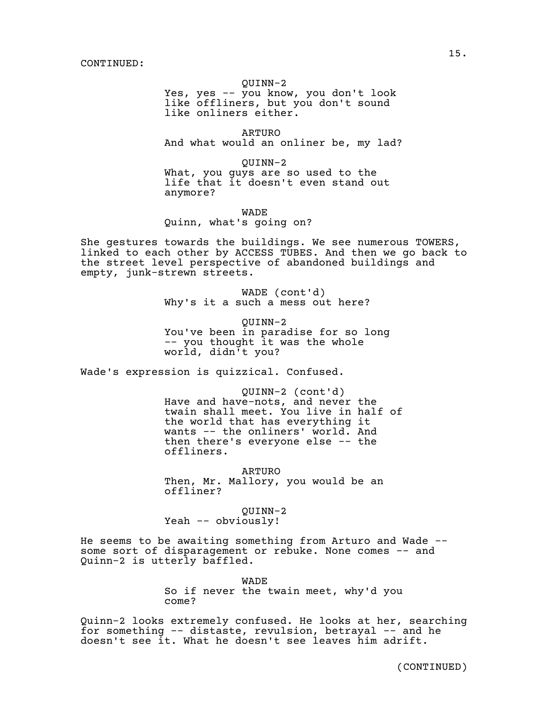QUINN-2

Yes, yes -- you know, you don't look like offliners, but you don't sound like onliners either.

ARTURO And what would an onliner be, my lad?

QUINN-2 What, you guys are so used to the life that it doesn't even stand out anymore?

WADE

Quinn, what's going on?

She gestures towards the buildings. We see numerous TOWERS, linked to each other by ACCESS TUBES. And then we go back to the street level perspective of abandoned buildings and empty, junk-strewn streets.

> WADE (cont'd) Why's it a such a mess out here?

QUINN-2 You've been in paradise for so long -- you thought it was the whole world, didn't you?

Wade's expression is quizzical. Confused.

QUINN-2 (cont'd) Have and have-nots, and never the twain shall meet. You live in half of the world that has everything it wants -- the onliners' world. And then there's everyone else -- the offliners.

ARTURO Then, Mr. Mallory, you would be an offliner?

QUINN-2 Yeah -- obviously!

He seems to be awaiting something from Arturo and Wade - some sort of disparagement or rebuke. None comes -- and Quinn-2 is utterly baffled.

> WADE So if never the twain meet, why'd you come?

Quinn-2 looks extremely confused. He looks at her, searching for something -- distaste, revulsion, betrayal -- and he doesn't see it. What he doesn't see leaves him adrift.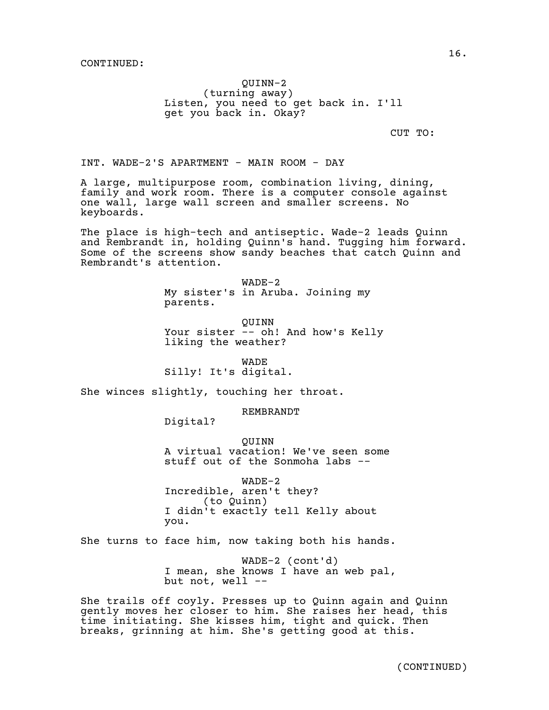QUINN-2 (turning away) Listen, you need to get back in. I'll get you back in. Okay?

CUT TO:

INT. WADE-2'S APARTMENT - MAIN ROOM - DAY

A large, multipurpose room, combination living, dining, family and work room. There is a computer console against one wall, large wall screen and smaller screens. No keyboards.

The place is high-tech and antiseptic. Wade-2 leads Quinn and Rembrandt in, holding Quinn's hand. Tugging him forward. Some of the screens show sandy beaches that catch Quinn and Rembrandt's attention.

> WADE-2 My sister's in Aruba. Joining my parents.

QUINN Your sister -- oh! And how's Kelly liking the weather?

WADE

Silly! It's digital.

She winces slightly, touching her throat.

REMBRANDT

Digital?

QUINN A virtual vacation! We've seen some stuff out of the Sonmoha labs --

WADE-2 Incredible, aren't they? (to Quinn) I didn't exactly tell Kelly about you.

She turns to face him, now taking both his hands.

WADE-2 (cont'd) I mean, she knows I have an web pal, but not, well --

She trails off coyly. Presses up to Quinn again and Quinn gently moves her closer to him. She raises her head, this time initiating. She kisses him, tight and quick. Then breaks, grinning at him. She's getting good at this.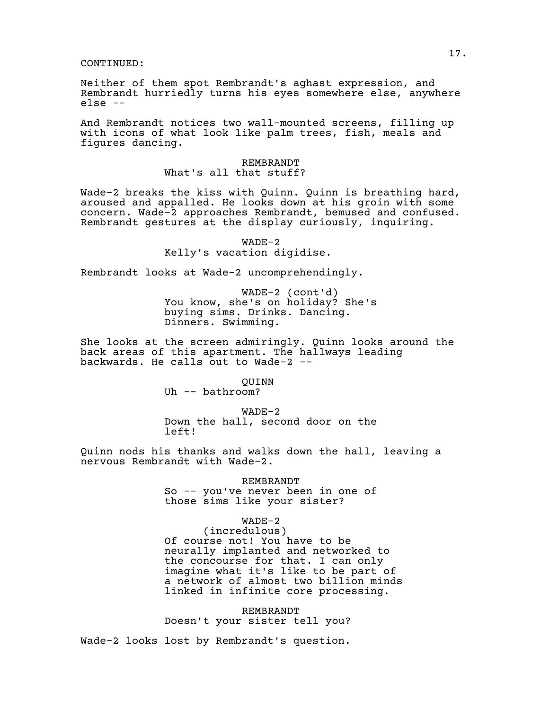Neither of them spot Rembrandt's aghast expression, and Rembrandt hurriedly turns his eyes somewhere else, anywhere else --

And Rembrandt notices two wall-mounted screens, filling up with icons of what look like palm trees, fish, meals and figures dancing.

# REMBRANDT What's all that stuff?

Wade-2 breaks the kiss with Quinn. Quinn is breathing hard, aroused and appalled. He looks down at his groin with some concern. Wade-2 approaches Rembrandt, bemused and confused. Rembrandt gestures at the display curiously, inquiring.

> WADE-2 Kelly's vacation digidise.

Rembrandt looks at Wade-2 uncomprehendingly.

WADE-2 (cont'd) You know, she's on holiday? She's buying sims. Drinks. Dancing. Dinners. Swimming.

She looks at the screen admiringly. Quinn looks around the back areas of this apartment. The hallways leading backwards. He calls out to Wade-2 --

> QUINN Uh -- bathroom?

WADE-2 Down the hall, second door on the left!

Quinn nods his thanks and walks down the hall, leaving a nervous Rembrandt with Wade-2.

> REMBRANDT So -- you've never been in one of those sims like your sister?

> > WADE-2

(incredulous) Of course not! You have to be neurally implanted and networked to the concourse for that. I can only imagine what it's like to be part of a network of almost two billion minds linked in infinite core processing.

REMBRANDT Doesn't your sister tell you?

Wade-2 looks lost by Rembrandt's question.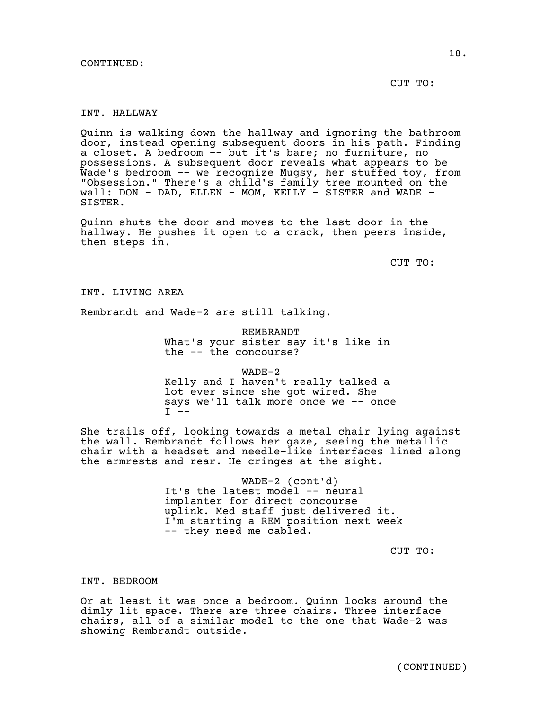CUT TO:

# INT. HALLWAY

Quinn is walking down the hallway and ignoring the bathroom door, instead opening subsequent doors in his path. Finding a closet. A bedroom -- but it's bare; no furniture, no possessions. A subsequent door reveals what appears to be Wade's bedroom -- we recognize Mugsy, her stuffed toy, from "Obsession." There's a child's family tree mounted on the wall: DON - DAD, ELLEN - MOM, KELLY - SISTER and WADE -SISTER.

Quinn shuts the door and moves to the last door in the hallway. He pushes it open to a crack, then peers inside, then steps in.

CUT TO:

INT. LIVING AREA

Rembrandt and Wade-2 are still talking.

REMBRANDT What's your sister say it's like in the -- the concourse?

WADE-2 Kelly and I haven't really talked a lot ever since she got wired. She says we'll talk more once we -- once  $I - -$ 

She trails off, looking towards a metal chair lying against the wall. Rembrandt follows her gaze, seeing the metallic chair with a headset and needle-like interfaces lined along the armrests and rear. He cringes at the sight.

> WADE-2 (cont'd) It's the latest model -- neural implanter for direct concourse uplink. Med staff just delivered it. I'm starting a REM position next week -- they need me cabled.

> > CUT TO:

INT. BEDROOM

Or at least it was once a bedroom. Quinn looks around the dimly lit space. There are three chairs. Three interface chairs, all of a similar model to the one that Wade-2 was showing Rembrandt outside.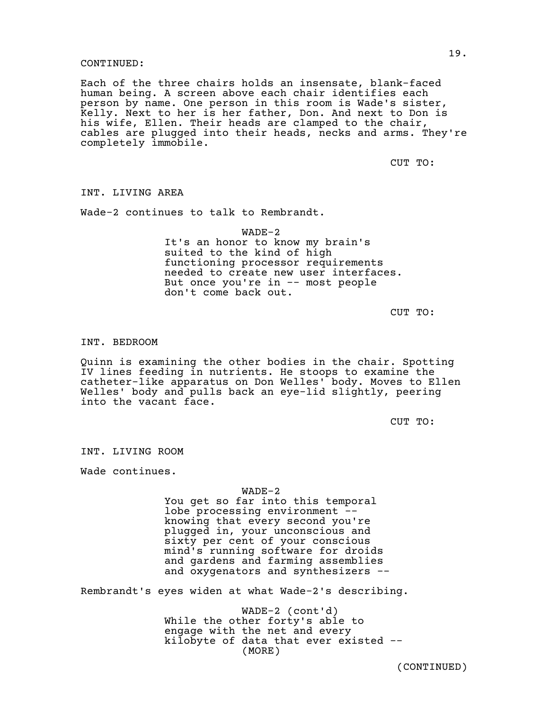Each of the three chairs holds an insensate, blank-faced human being. A screen above each chair identifies each person by name. One person in this room is Wade's sister, Kelly. Next to her is her father, Don. And next to Don is his wife, Ellen. Their heads are clamped to the chair, cables are plugged into their heads, necks and arms. They're completely immobile.

CUT TO:

INT. LIVING AREA

Wade-2 continues to talk to Rembrandt.

WADE-2 It's an honor to know my brain's suited to the kind of high functioning processor requirements needed to create new user interfaces. But once you're in -- most people don't come back out.

CUT TO:

#### INT. BEDROOM

Quinn is examining the other bodies in the chair. Spotting IV lines feeding in nutrients. He stoops to examine the catheter-like apparatus on Don Welles' body. Moves to Ellen Welles' body and pulls back an eye-lid slightly, peering into the vacant face.

CUT TO:

INT. LIVING ROOM

Wade continues.

#### WADE-2

You get so far into this temporal lobe processing environment - knowing that every second you're plugged in, your unconscious and sixty per cent of your conscious mind's running software for droids and gardens and farming assemblies and oxygenators and synthesizers --

Rembrandt's eyes widen at what Wade-2's describing.

WADE-2 (cont'd) While the other forty's able to engage with the net and every kilobyte of data that ever existed -- (MORE)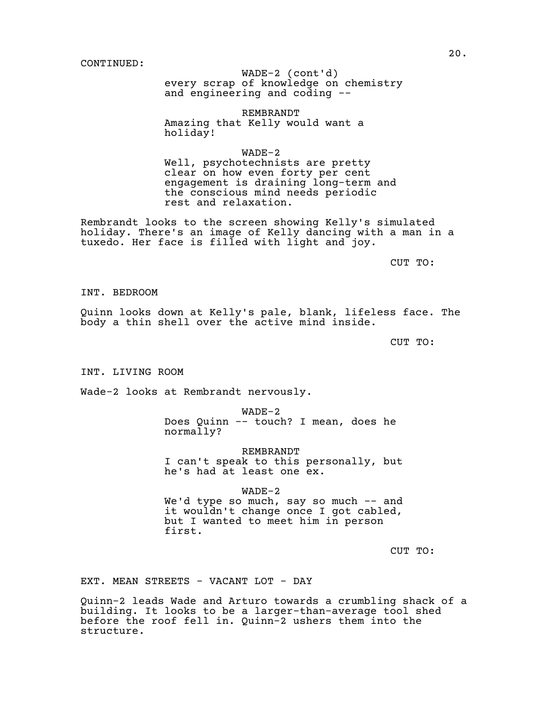every scrap of knowledge on chemistry WADE-2 (cont'd) and engineering and coding --

REMBRANDT Amazing that Kelly would want a holiday!

WADE-2 Well, psychotechnists are pretty clear on how even forty per cent engagement is draining long-term and the conscious mind needs periodic rest and relaxation.

Rembrandt looks to the screen showing Kelly's simulated holiday. There's an image of Kelly dancing with a man in a tuxedo. Her face is filled with light and joy.

CUT TO:

INT. BEDROOM

Quinn looks down at Kelly's pale, blank, lifeless face. The body a thin shell over the active mind inside.

CUT TO:

INT. LIVING ROOM

Wade-2 looks at Rembrandt nervously.

WADE-2 Does Quinn -- touch? I mean, does he normally?

REMBRANDT I can't speak to this personally, but he's had at least one ex.

WADE-2 We'd type so much, say so much -- and it wouldn't change once I got cabled, but I wanted to meet him in person first.

CUT TO:

EXT. MEAN STREETS - VACANT LOT - DAY

Quinn-2 leads Wade and Arturo towards a crumbling shack of a building. It looks to be a larger-than-average tool shed before the roof fell in. Quinn-2 ushers them into the structure.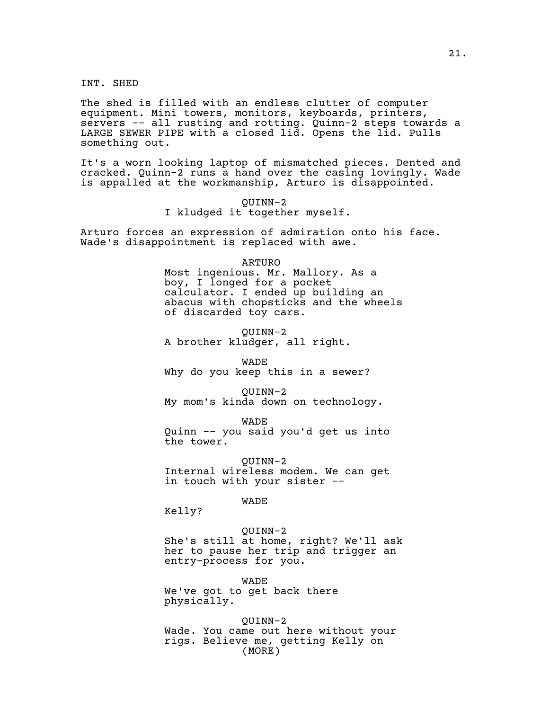INT. SHED

The shed is filled with an endless clutter of computer equipment. Mini towers, monitors, keyboards, printers, servers -- all rusting and rotting. Quinn-2 steps towards a LARGE SEWER PIPE with a closed lid. Opens the lid. Pulls something out.

It's a worn looking laptop of mismatched pieces. Dented and cracked. Quinn-2 runs a hand over the casing lovingly. Wade is appalled at the workmanship, Arturo is disappointed.

> QUINN-2 I kludged it together myself.

Arturo forces an expression of admiration onto his face. Wade's disappointment is replaced with awe.

#### ARTURO

Most ingenious. Mr. Mallory. As a boy, I longed for a pocket calculator. I ended up building an abacus with chopsticks and the wheels of discarded toy cars.

QUINN-2 A brother kludger, all right.

WADE

Why do you keep this in a sewer?

QUINN-2

My mom's kinda down on technology.

WADE

Quinn -- you said you'd get us into the tower.

QUINN-2 Internal wireless modem. We can get in touch with your sister --

WADE

Kelly?

#### QUINN-2

She's still at home, right? We'll ask her to pause her trip and trigger an entry-process for you.

WADE We've got to get back there physically.

QUINN-2 Wade. You came out here without your rigs. Believe me, getting Kelly on (MORE)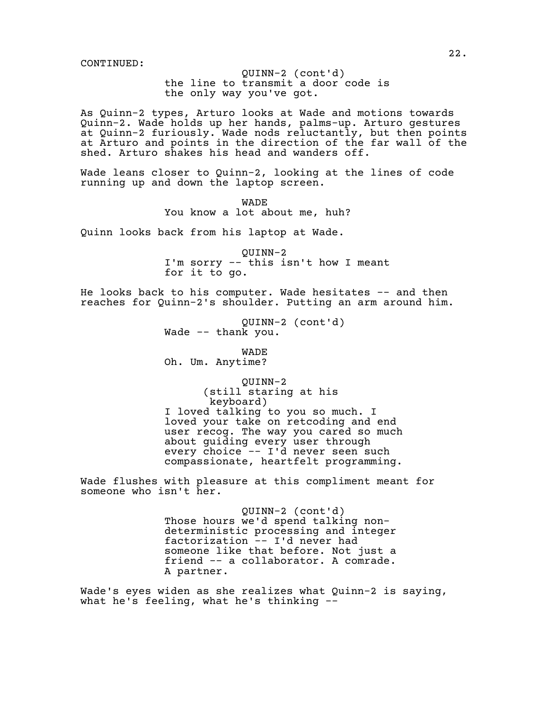the line to transmit a door code is QUINN-2 (cont'd) the only way you've got.

As Quinn-2 types, Arturo looks at Wade and motions towards Quinn-2. Wade holds up her hands, palms-up. Arturo gestures at Quinn-2 furiously. Wade nods reluctantly, but then points at Arturo and points in the direction of the far wall of the shed. Arturo shakes his head and wanders off.

Wade leans closer to Quinn-2, looking at the lines of code running up and down the laptop screen.

> WADE You know a lot about me, huh?

Quinn looks back from his laptop at Wade.

QUINN-2 I'm sorry -- this isn't how I meant for it to go.

He looks back to his computer. Wade hesitates -- and then reaches for Quinn-2's shoulder. Putting an arm around him.

> QUINN-2 (cont'd) Wade -- thank you.

> > WADE

Oh. Um. Anytime?

QUINN-2 (still staring at his keyboard) I loved talking to you so much. I loved your take on retcoding and end user recog. The way you cared so much about guiding every user through every choice -- I'd never seen such compassionate, heartfelt programming.

Wade flushes with pleasure at this compliment meant for someone who isn't her.

> QUINN-2 (cont'd) Those hours we'd spend talking nondeterministic processing and integer factorization -- I'd never had someone like that before. Not just a friend -- a collaborator. A comrade. A partner.

Wade's eyes widen as she realizes what Quinn-2 is saying, what he's feeling, what he's thinking --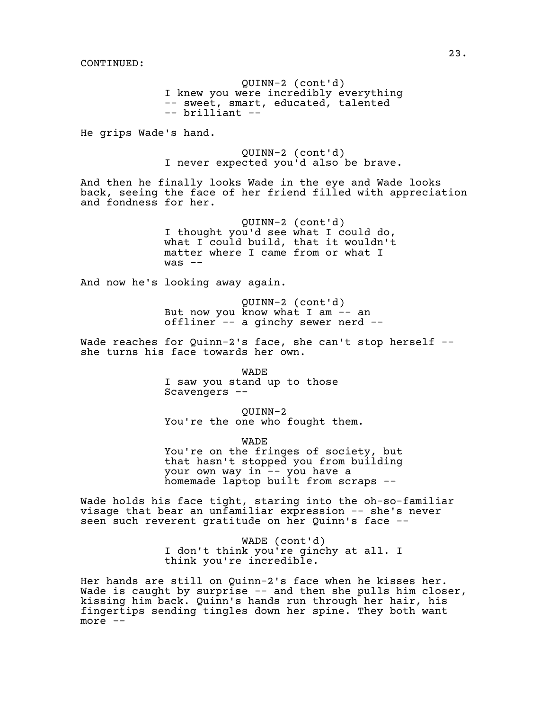QUINN-2 (cont'd) I knew you were incredibly everything -- sweet, smart, educated, talented -- brilliant --

He grips Wade's hand.

QUINN-2 (cont'd) I never expected you'd also be brave.

And then he finally looks Wade in the eye and Wade looks back, seeing the face of her friend filled with appreciation and fondness for her.

> QUINN-2 (cont'd) I thought you'd see what I could do, what I could build, that it wouldn't matter where I came from or what I  $was$   $-$

And now he's looking away again.

QUINN-2 (cont'd) But now you know what I am -- an offliner -- a ginchy sewer nerd --

Wade reaches for Quinn-2's face, she can't stop herself -she turns his face towards her own.

WADE

I saw you stand up to those Scavengers --

QUINN-2 You're the one who fought them.

WADE

You're on the fringes of society, but that hasn't stopped you from building your own way in -- you have a homemade laptop built from scraps --

Wade holds his face tight, staring into the oh-so-familiar visage that bear an unfamiliar expression -- she's never seen such reverent gratitude on her Quinn's face --

> WADE (cont'd) I don't think you're ginchy at all. I think you're incredible.

Her hands are still on Quinn-2's face when he kisses her. Wade is caught by surprise -- and then she pulls him closer, kissing him back. Quinn's hands run through her hair, his fingertips sending tingles down her spine. They both want more  $--$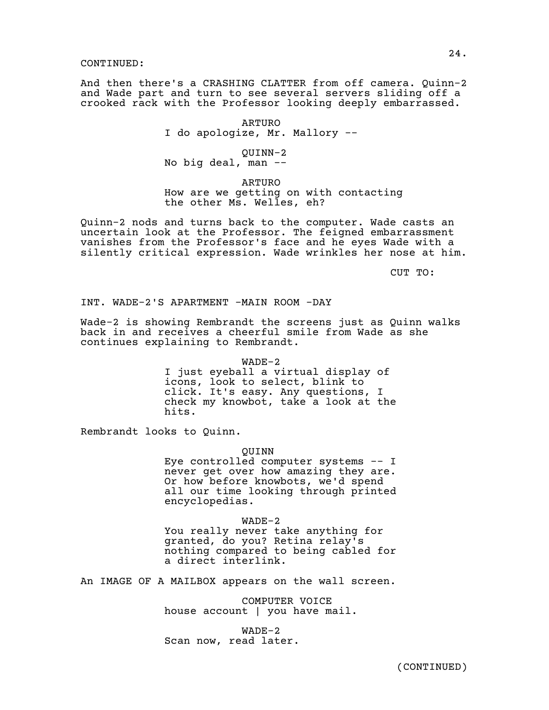And then there's a CRASHING CLATTER from off camera. Quinn-2 and Wade part and turn to see several servers sliding off a crooked rack with the Professor looking deeply embarrassed.

> ARTURO I do apologize, Mr. Mallory --

QUINN-2 No big deal, man --

ARTURO How are we getting on with contacting the other Ms. Welles, eh?

Quinn-2 nods and turns back to the computer. Wade casts an uncertain look at the Professor. The feigned embarrassment vanishes from the Professor's face and he eyes Wade with a silently critical expression. Wade wrinkles her nose at him.

CUT TO:

INT. WADE-2'S APARTMENT -MAIN ROOM -DAY

Wade-2 is showing Rembrandt the screens just as Quinn walks back in and receives a cheerful smile from Wade as she continues explaining to Rembrandt.

> WADE-2 I just eyeball a virtual display of icons, look to select, blink to click. It's easy. Any questions, I check my knowbot, take a look at the hits.

Rembrandt looks to Quinn.

QUINN

Eye controlled computer systems -- I never get over how amazing they are. Or how before knowbots, we'd spend all our time looking through printed encyclopedias.

WADE-2 You really never take anything for granted, do you? Retina relay's nothing compared to being cabled for a direct interlink.

An IMAGE OF A MAILBOX appears on the wall screen.

COMPUTER VOICE house account | you have mail.

WADE-2 Scan now, read later.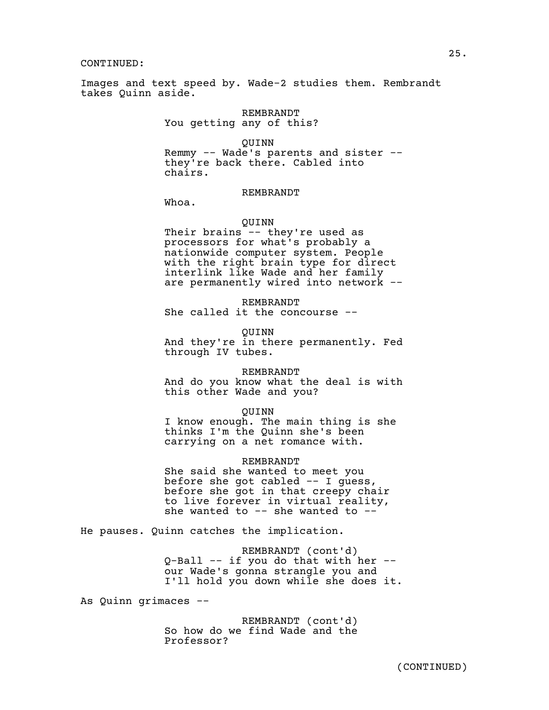Images and text speed by. Wade-2 studies them. Rembrandt takes Quinn aside.

> REMBRANDT You getting any of this?

QUINN Remmy -- Wade's parents and sister - they're back there. Cabled into chairs.

# REMBRANDT

Whoa.

# QUINN

Their brains -- they're used as processors for what's probably a nationwide computer system. People with the right brain type for direct interlink like Wade and her family are permanently wired into network --

#### REMBRANDT

She called it the concourse --

QUINN

And they're in there permanently. Fed through IV tubes.

#### REMBRANDT

And do you know what the deal is with this other Wade and you?

#### QUINN

I know enough. The main thing is she thinks I'm the Quinn she's been carrying on a net romance with.

#### REMBRANDT

She said she wanted to meet you before she got cabled -- I guess, before she got in that creepy chair to live forever in virtual reality, she wanted to -- she wanted to --

He pauses. Quinn catches the implication.

REMBRANDT (cont'd) Q-Ball -- if you do that with her - our Wade's gonna strangle you and I'll hold you down while she does it.

As Quinn grimaces --

REMBRANDT (cont'd) So how do we find Wade and the Professor?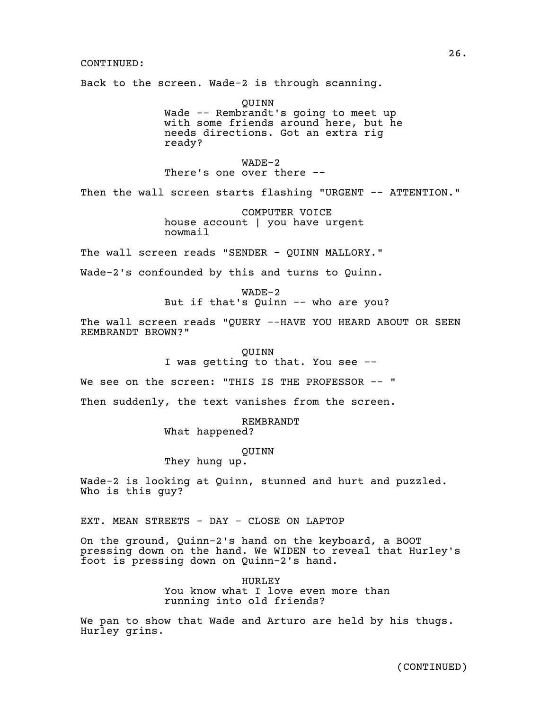Back to the screen. Wade-2 is through scanning.

QUINN Wade -- Rembrandt's going to meet up with some friends around here, but he needs directions. Got an extra rig ready?

WADE-2 There's one over there --

Then the wall screen starts flashing "URGENT -- ATTENTION."

COMPUTER VOICE house account | you have urgent nowmail

The wall screen reads "SENDER - QUINN MALLORY."

Wade-2's confounded by this and turns to Quinn.

WADE-2 But if that's Quinn -- who are you?

The wall screen reads "QUERY --HAVE YOU HEARD ABOUT OR SEEN REMBRANDT BROWN?"

> QUINN I was getting to that. You see --

We see on the screen: "THIS IS THE PROFESSOR -- "

Then suddenly, the text vanishes from the screen.

REMBRANDT

What happened?

QUINN

They hung up.

Wade-2 is looking at Quinn, stunned and hurt and puzzled. Who is this guy?

EXT. MEAN STREETS - DAY - CLOSE ON LAPTOP

On the ground, Quinn-2's hand on the keyboard, a BOOT pressing down on the hand. We WIDEN to reveal that Hurley's foot is pressing down on Quinn-2's hand.

> HURLEY You know what I love even more than running into old friends?

We pan to show that Wade and Arturo are held by his thugs. Hurley grins.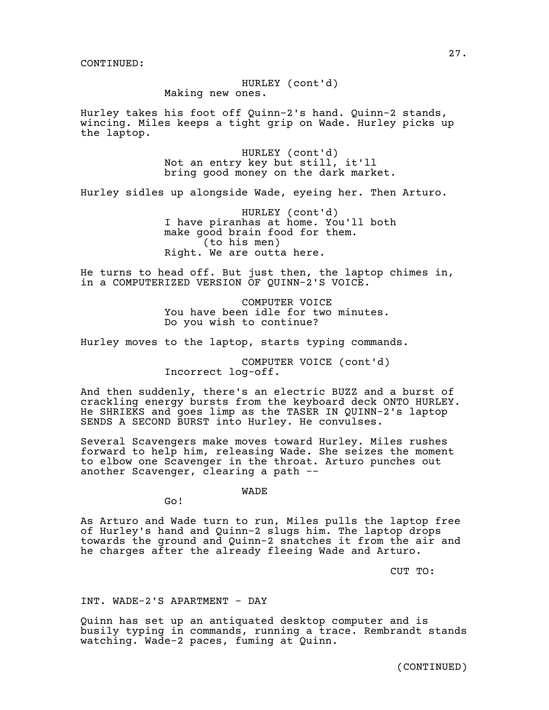HURLEY (cont'd) Making new ones.

Hurley takes his foot off Quinn-2's hand. Quinn-2 stands, wincing. Miles keeps a tight grip on Wade. Hurley picks up the laptop.

> HURLEY (cont'd) Not an entry key but still, it'll bring good money on the dark market.

Hurley sidles up alongside Wade, eyeing her. Then Arturo.

HURLEY (cont'd) I have piranhas at home. You'll both make good brain food for them. (to his men) Right. We are outta here.

He turns to head off. But just then, the laptop chimes in, in a COMPUTERIZED VERSION OF QUINN-2'S VOICE.

> COMPUTER VOICE You have been idle for two minutes. Do you wish to continue?

Hurley moves to the laptop, starts typing commands.

COMPUTER VOICE (cont'd) Incorrect log-off.

And then suddenly, there's an electric BUZZ and a burst of crackling energy bursts from the keyboard deck ONTO HURLEY. He SHRIEKS and goes limp as the TASER IN QUINN-2's laptop SENDS A SECOND BURST into Hurley. He convulses.

Several Scavengers make moves toward Hurley. Miles rushes forward to help him, releasing Wade. She seizes the moment to elbow one Scavenger in the throat. Arturo punches out another Scavenger, clearing a path --

WADE

Go!

As Arturo and Wade turn to run, Miles pulls the laptop free of Hurley's hand and Quinn-2 slugs him. The laptop drops towards the ground and Quinn-2 snatches it from the air and he charges after the already fleeing Wade and Arturo.

CUT TO:

INT. WADE-2'S APARTMENT - DAY

Quinn has set up an antiquated desktop computer and is busily typing in commands, running a trace. Rembrandt stands watching. Wade-2 paces, fuming at Quinn.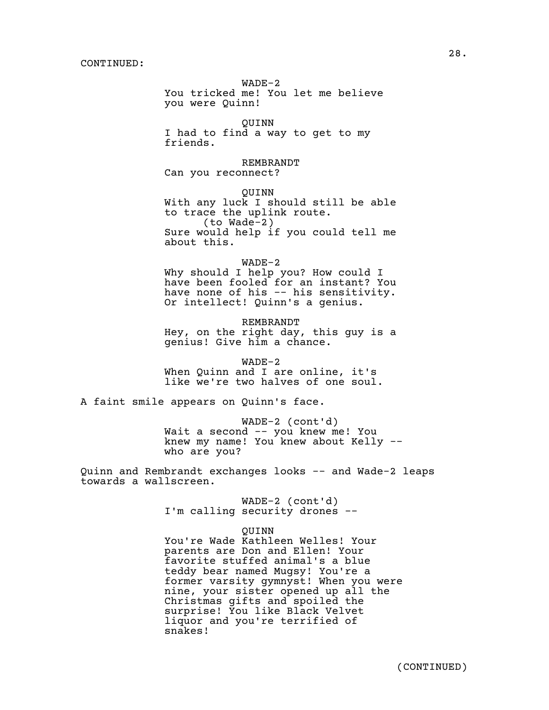WADE-2 You tricked me! You let me believe you were Quinn!

QUINN I had to find a way to get to my friends.

REMBRANDT Can you reconnect?

QUINN With any luck I should still be able to trace the uplink route. (to Wade-2) Sure would help if you could tell me about this.

WADE-2 Why should I help you? How could I have been fooled for an instant? You have none of his -- his sensitivity. Or intellect! Quinn's a genius.

REMBRANDT Hey, on the right day, this guy is a genius! Give him a chance.

WADE-2 When Quinn and I are online, it's like we're two halves of one soul.

A faint smile appears on Quinn's face.

WADE-2 (cont'd) Wait a second -- you knew me! You knew my name! You knew about Kelly - who are you?

Quinn and Rembrandt exchanges looks -- and Wade-2 leaps towards a wallscreen.

> WADE-2 (cont'd) I'm calling security drones --

> > QUINN

You're Wade Kathleen Welles! Your parents are Don and Ellen! Your favorite stuffed animal's a blue teddy bear named Mugsy! You're a former varsity gymnyst! When you were nine, your sister opened up all the Christmas gifts and spoiled the surprise! You like Black Velvet liquor and you're terrified of snakes!

28.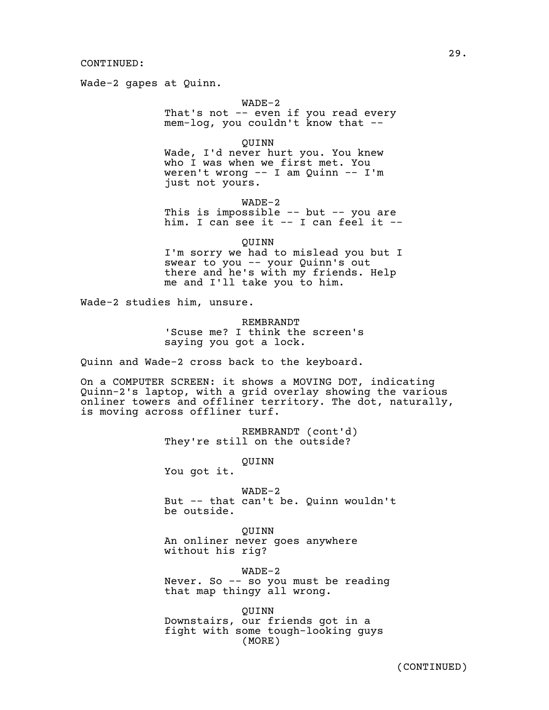Wade-2 gapes at Quinn.

WADE-2

That's not -- even if you read every mem-log, you couldn't know that --

QUINN Wade, I'd never hurt you. You knew who I was when we first met. You weren't wrong -- I am Quinn -- I'm just not yours.

WADE-2 This is impossible -- but -- you are him. I can see it -- I can feel it --

QUINN

I'm sorry we had to mislead you but I swear to you -- your Quinn's out there and he's with my friends. Help me and I'll take you to him.

Wade-2 studies him, unsure.

REMBRANDT 'Scuse me? I think the screen's saying you got a lock.

Quinn and Wade-2 cross back to the keyboard.

On a COMPUTER SCREEN: it shows a MOVING DOT, indicating Quinn-2's laptop, with a grid overlay showing the various onliner towers and offliner territory. The dot, naturally, is moving across offliner turf.

> REMBRANDT (cont'd) They're still on the outside?

> > QUINN

You got it.

WADE-2 But -- that can't be. Quinn wouldn't be outside.

QUINN An onliner never goes anywhere without his rig?

WADE-2 Never. So -- so you must be reading that map thingy all wrong.

QUINN Downstairs, our friends got in a fight with some tough-looking guys (MORE)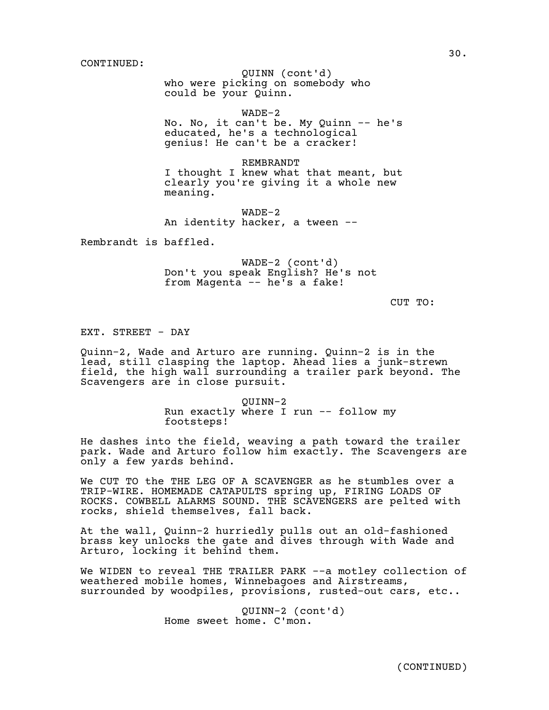who were picking on somebody who QUINN (cont'd) could be your Quinn.

WADE-2 No. No, it can't be. My Quinn -- he's educated, he's a technological

genius! He can't be a cracker!

REMBRANDT I thought I knew what that meant, but clearly you're giving it a whole new meaning.

WADE-2 An identity hacker, a tween --

Rembrandt is baffled.

WADE-2 (cont'd) Don't you speak English? He's not from Magenta -- he's a fake!

CUT TO:

EXT. STREET - DAY

Quinn-2, Wade and Arturo are running. Quinn-2 is in the lead, still clasping the laptop. Ahead lies a junk-strewn field, the high wall surrounding a trailer park beyond. The Scavengers are in close pursuit.

> QUINN-2 Run exactly where I run -- follow my footsteps!

He dashes into the field, weaving a path toward the trailer park. Wade and Arturo follow him exactly. The Scavengers are only a few yards behind.

We CUT TO the THE LEG OF A SCAVENGER as he stumbles over a TRIP-WIRE. HOMEMADE CATAPULTS spring up, FIRING LOADS OF ROCKS. COWBELL ALARMS SOUND. THE SCAVENGERS are pelted with rocks, shield themselves, fall back.

At the wall, Quinn-2 hurriedly pulls out an old-fashioned brass key unlocks the gate and dives through with Wade and Arturo, locking it behind them.

We WIDEN to reveal THE TRAILER PARK --a motley collection of weathered mobile homes, Winnebagoes and Airstreams, surrounded by woodpiles, provisions, rusted-out cars, etc..

> QUINN-2 (cont'd) Home sweet home. C'mon.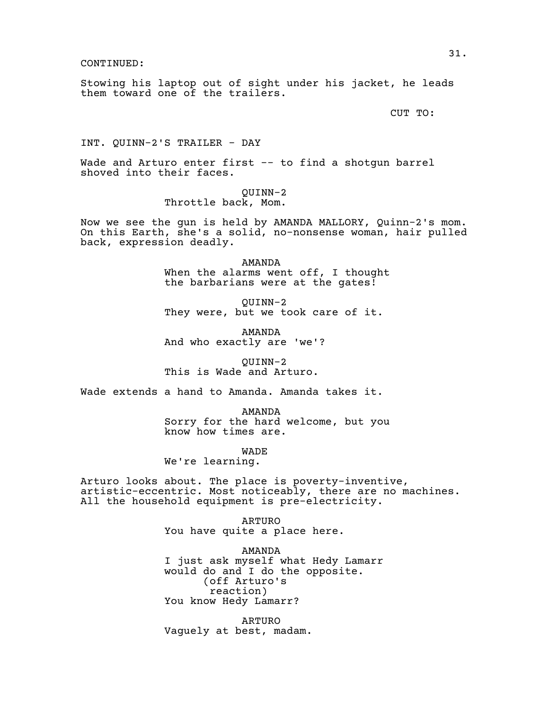Stowing his laptop out of sight under his jacket, he leads them toward one of the trailers.

CUT TO:

INT. QUINN-2'S TRAILER - DAY

Wade and Arturo enter first -- to find a shotgun barrel shoved into their faces.

> QUINN-2 Throttle back, Mom.

Now we see the gun is held by AMANDA MALLORY, Quinn-2's mom. On this Earth, she's a solid, no-nonsense woman, hair pulled back, expression deadly.

> AMANDA When the alarms went off, I thought the barbarians were at the gates!

QUINN-2 They were, but we took care of it.

AMANDA And who exactly are 'we'?

QUINN-2 This is Wade and Arturo.

Wade extends a hand to Amanda. Amanda takes it.

AMANDA Sorry for the hard welcome, but you know how times are.

WADE

We're learning.

Arturo looks about. The place is poverty-inventive, artistic-eccentric. Most noticeably, there are no machines. All the household equipment is pre-electricity.

> ARTURO You have quite a place here.

AMANDA I just ask myself what Hedy Lamarr would do and I do the opposite. (off Arturo's reaction) You know Hedy Lamarr?

ARTURO Vaguely at best, madam.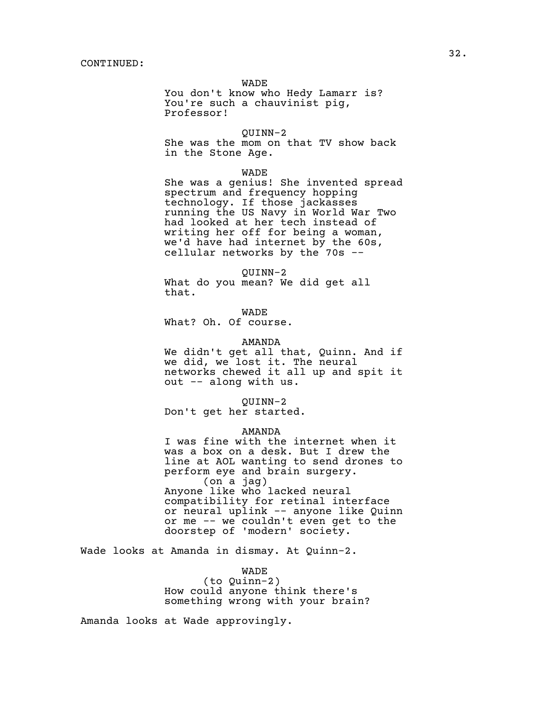WADE

You don't know who Hedy Lamarr is? You're such a chauvinist pig, Professor!

QUINN-2

She was the mom on that TV show back in the Stone Age.

#### WADE

She was a genius! She invented spread spectrum and frequency hopping technology. If those jackasses running the US Navy in World War Two had looked at her tech instead of writing her off for being a woman, we'd have had internet by the 60s, cellular networks by the 70s --

QUINN-2 What do you mean? We did get all that.

WADE What? Oh. Of course.

#### AMANDA

We didn't get all that, Quinn. And if we did, we lost it. The neural networks chewed it all up and spit it out -- along with us.

QUINN-2

Don't get her started.

#### AMANDA

I was fine with the internet when it was a box on a desk. But I drew the line at AOL wanting to send drones to perform eye and brain surgery. (on a jag) Anyone like who lacked neural compatibility for retinal interface or neural uplink -- anyone like Quinn or me -- we couldn't even get to the doorstep of 'modern' society.

Wade looks at Amanda in dismay. At Quinn-2.

WADE

(to Quinn-2) How could anyone think there's something wrong with your brain?

Amanda looks at Wade approvingly.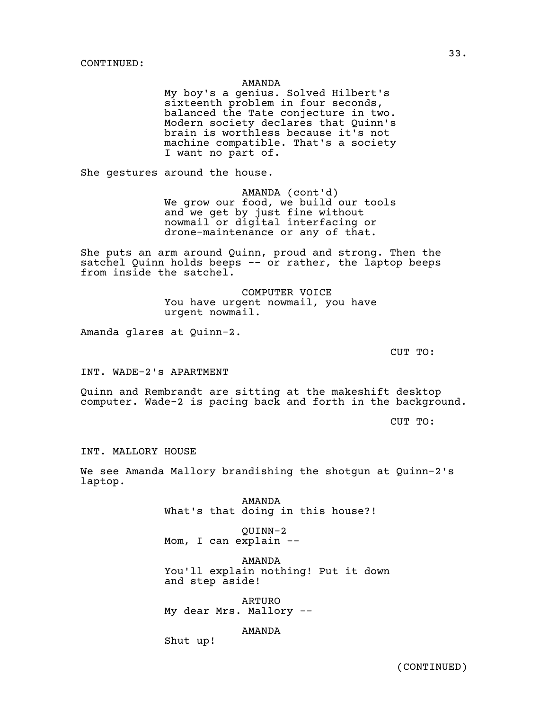# AMANDA

My boy's a genius. Solved Hilbert's sixteenth problem in four seconds, balanced the Tate conjecture in two. Modern society declares that Quinn's brain is worthless because it's not machine compatible. That's a society I want no part of.

She gestures around the house.

AMANDA (cont'd) We grow our food, we build our tools and we get by just fine without nowmail or digital interfacing or drone-maintenance or any of that.

She puts an arm around Quinn, proud and strong. Then the satchel Quinn holds beeps -- or rather, the laptop beeps from inside the satchel.

> COMPUTER VOICE You have urgent nowmail, you have urgent nowmail.

Amanda glares at Quinn-2.

CUT TO:

INT. WADE-2's APARTMENT

Quinn and Rembrandt are sitting at the makeshift desktop computer. Wade-2 is pacing back and forth in the background.

CUT TO:

INT. MALLORY HOUSE

We see Amanda Mallory brandishing the shotgun at Quinn-2's laptop.

> AMANDA What's that doing in this house?!

QUINN-2 Mom, I can explain --

AMANDA You'll explain nothing! Put it down and step aside!

ARTURO My dear Mrs. Mallory --

AMANDA

Shut up!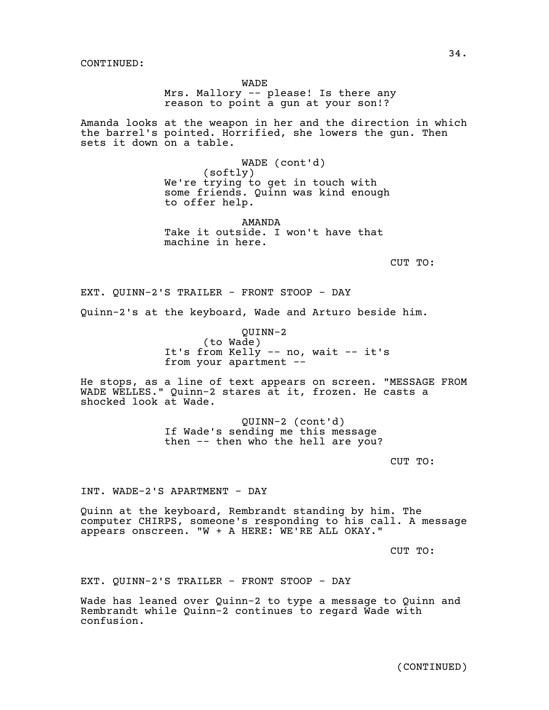WADE

Mrs. Mallory -- please! Is there any reason to point a gun at your son!?

Amanda looks at the weapon in her and the direction in which the barrel's pointed. Horrified, she lowers the gun. Then sets it down on a table.

> WADE (cont'd) (softly) We're trying to get in touch with some friends. Quinn was kind enough to offer help.

AMANDA Take it outside. I won't have that machine in here.

CUT TO:

EXT. QUINN-2'S TRAILER - FRONT STOOP - DAY

Quinn-2's at the keyboard, Wade and Arturo beside him.

QUINN-2 (to Wade) It's from Kelly -- no, wait -- it's from your apartment --

He stops, as a line of text appears on screen. "MESSAGE FROM WADE WELLES." Quinn-2 stares at it, frozen. He casts a shocked look at Wade.

> QUINN-2 (cont'd) If Wade's sending me this message then -- then who the hell are you?

> > CUT TO:

INT. WADE-2'S APARTMENT - DAY

Quinn at the keyboard, Rembrandt standing by him. The computer CHIRPS, someone's responding to his call. A message appears onscreen. "W + A HERE: WE'RE ALL OKAY."

CUT TO:

EXT. QUINN-2'S TRAILER - FRONT STOOP - DAY

Wade has leaned over Quinn-2 to type a message to Quinn and Rembrandt while Quinn-2 continues to regard Wade with confusion.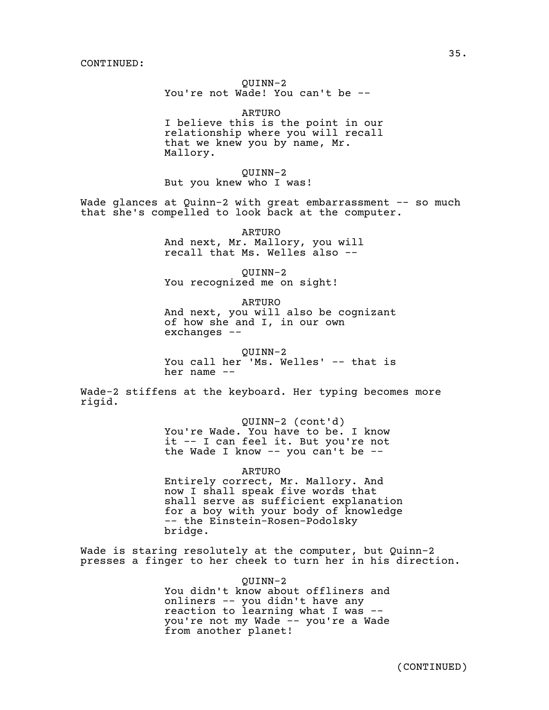# QUINN-2 You're not Wade! You can't be --

ARTURO I believe this is the point in our relationship where you will recall that we knew you by name, Mr. Mallory.

QUINN-2 But you knew who I was!

Wade glances at Quinn-2 with great embarrassment -- so much that she's compelled to look back at the computer.

> ARTURO And next, Mr. Mallory, you will recall that Ms. Welles also --

QUINN-2 You recognized me on sight!

ARTURO And next, you will also be cognizant of how she and I, in our own exchanges --

QUINN-2 You call her 'Ms. Welles' -- that is her name --

Wade-2 stiffens at the keyboard. Her typing becomes more rigid.

> QUINN-2 (cont'd) You're Wade. You have to be. I know it -- I can feel it. But you're not the Wade I know  $--$  you can't be  $--$

> > ARTURO

Entirely correct, Mr. Mallory. And now I shall speak five words that shall serve as sufficient explanation for a boy with your body of knowledge -- the Einstein-Rosen-Podolsky bridge.

Wade is staring resolutely at the computer, but Quinn-2 presses a finger to her cheek to turn her in his direction.

QUINN-2

You didn't know about offliners and onliners -- you didn't have any reaction to learning what I was - you're not my Wade -- you're a Wade from another planet!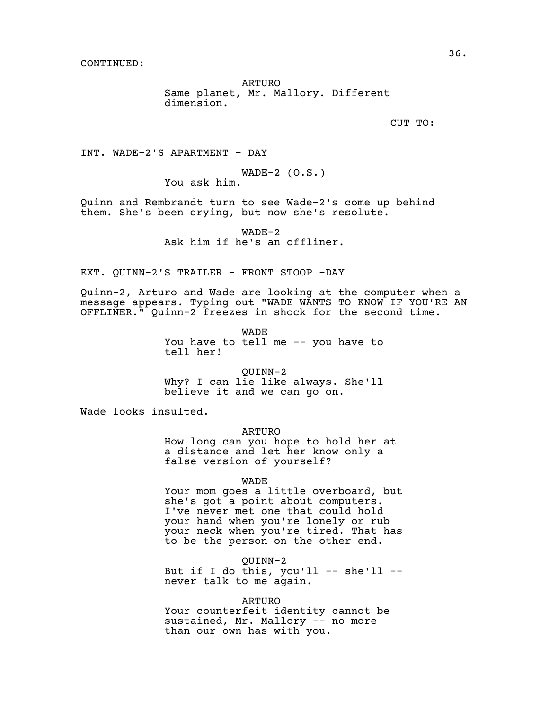ARTURO Same planet, Mr. Mallory. Different dimension.

CUT TO:

INT. WADE-2'S APARTMENT - DAY

WADE-2  $(0.S.)$ 

You ask him.

Quinn and Rembrandt turn to see Wade-2's come up behind them. She's been crying, but now she's resolute.

> WADE-2 Ask him if he's an offliner.

EXT. QUINN-2'S TRAILER - FRONT STOOP -DAY

Quinn-2, Arturo and Wade are looking at the computer when a message appears. Typing out "WADE WANTS TO KNOW IF YOU'RE AN OFFLINER." Quinn-2 freezes in shock for the second time.

> WADE You have to tell me -- you have to tell her!

> QUINN-2 Why? I can lie like always. She'll believe it and we can go on.

Wade looks insulted.

ARTURO How long can you hope to hold her at a distance and let her know only a false version of yourself?

WADE

Your mom goes a little overboard, but she's got a point about computers. I've never met one that could hold your hand when you're lonely or rub your neck when you're tired. That has to be the person on the other end.

QUINN-2 But if I do this, you'll  $--$  she'll  $-$ never talk to me again.

ARTURO

Your counterfeit identity cannot be sustained, Mr. Mallory -- no more than our own has with you.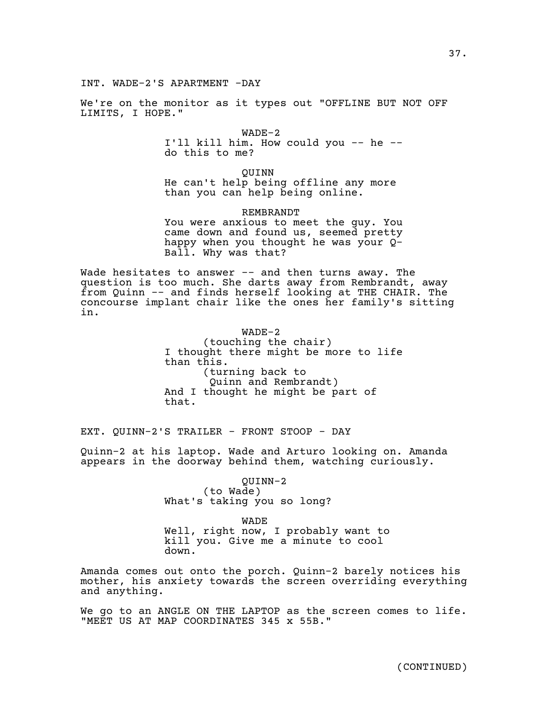We're on the monitor as it types out "OFFLINE BUT NOT OFF LIMITS, I HOPE."

> WADE-2 I'll kill him. How could you -- he - do this to me?

QUINN He can't help being offline any more than you can help being online.

REMBRANDT You were anxious to meet the guy. You came down and found us, seemed pretty happy when you thought he was your Q-Ball. Why was that?

Wade hesitates to answer -- and then turns away. The question is too much. She darts away from Rembrandt, away from Quinn -- and finds herself looking at THE CHAIR. The concourse implant chair like the ones her family's sitting in.

> WADE-2 (touching the chair) I thought there might be more to life than this. (turning back to Quinn and Rembrandt) And I thought he might be part of that.

EXT. QUINN-2'S TRAILER - FRONT STOOP - DAY

Quinn-2 at his laptop. Wade and Arturo looking on. Amanda appears in the doorway behind them, watching curiously.

> QUINN-2 (to Wade) What's taking you so long?

WADE Well, right now, I probably want to kill you. Give me a minute to cool down.

Amanda comes out onto the porch. Quinn-2 barely notices his mother, his anxiety towards the screen overriding everything and anything.

We go to an ANGLE ON THE LAPTOP as the screen comes to life. "MEET US AT MAP COORDINATES 345 x 55B."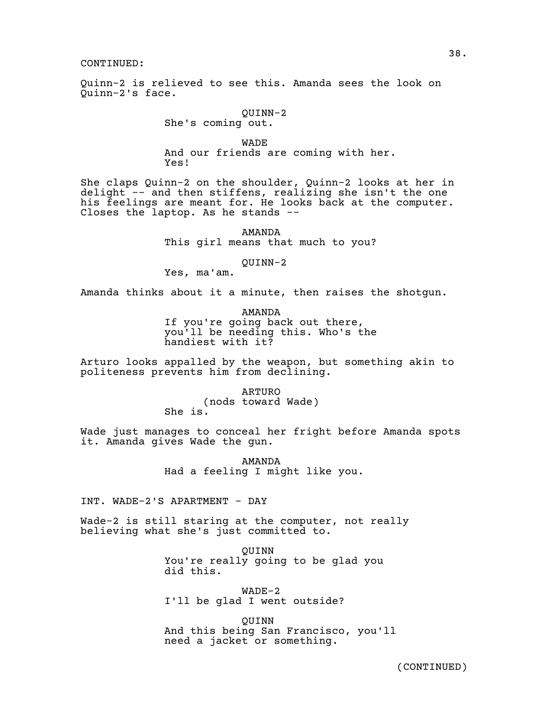Quinn-2 is relieved to see this. Amanda sees the look on Quinn-2's face.

> QUINN-2 She's coming out.

WADE And our friends are coming with her. Yes!

She claps Quinn-2 on the shoulder, Quinn-2 looks at her in delight -- and then stiffens, realizing she isn't the one his feelings are meant for. He looks back at the computer. Closes the laptop. As he stands --

> AMANDA This girl means that much to you?

#### QUINN-2

Yes, ma'am.

Amanda thinks about it a minute, then raises the shotgun.

AMANDA If you're going back out there, you'll be needing this. Who's the handiest with it?

Arturo looks appalled by the weapon, but something akin to politeness prevents him from declining.

> ARTURO (nods toward Wade) She is.

Wade just manages to conceal her fright before Amanda spots it. Amanda gives Wade the gun.

> AMANDA Had a feeling I might like you.

INT. WADE-2'S APARTMENT - DAY

Wade-2 is still staring at the computer, not really believing what she's just committed to.

> QUINN You're really going to be glad you did this.

WADE-2 I'll be glad I went outside?

QUINN And this being San Francisco, you'll need a jacket or something.

38.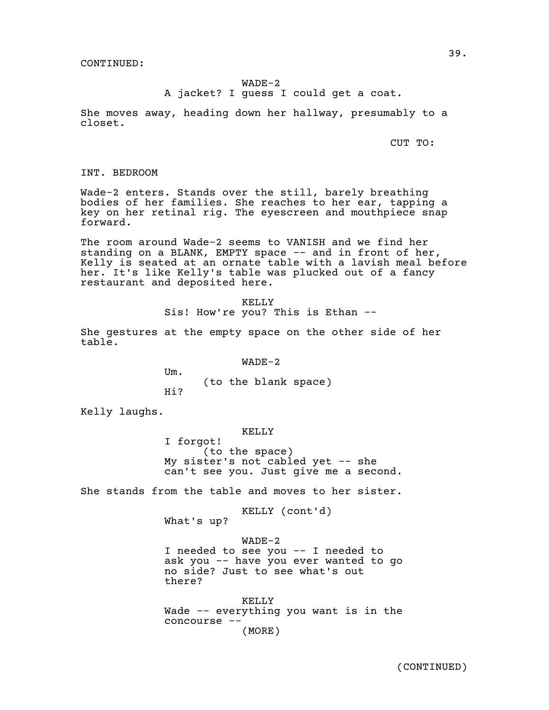# WADE-2

A jacket? I guess I could get a coat.

She moves away, heading down her hallway, presumably to a closet.

CUT TO:

INT. BEDROOM

Wade-2 enters. Stands over the still, barely breathing bodies of her families. She reaches to her ear, tapping a key on her retinal rig. The eyescreen and mouthpiece snap forward.

The room around Wade-2 seems to VANISH and we find her standing on a BLANK, EMPTY space -- and in front of her, Kelly is seated at an ornate table with a lavish meal before her. It's like Kelly's table was plucked out of a fancy restaurant and deposited here.

> KELLY Sis! How're you? This is Ethan --

She gestures at the empty space on the other side of her table.

WADE-2

(to the blank space)

Hi?

Um.

Kelly laughs.

KELLY

I forgot! (to the space) My sister's not cabled yet  $-$  she can't see you. Just give me a second.

She stands from the table and moves to her sister.

KELLY (cont'd) What's up?

WADE-2 I needed to see you -- I needed to ask you -- have you ever wanted to go no side? Just to see what's out there?

KELLY Wade -- everything you want is in the concourse -- (MORE)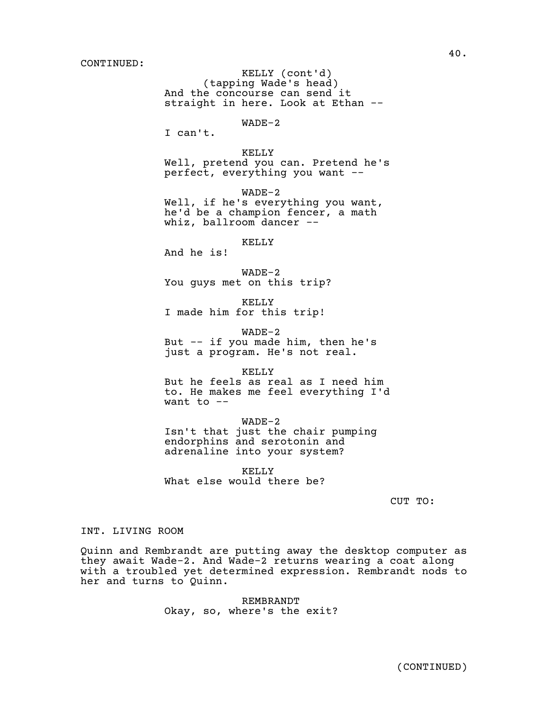(tapping Wade's head) KELLY (cont'd) And the concourse can send it straight in here. Look at Ethan -- WADE-2 I can't. KELLY Well, pretend you can. Pretend he's perfect, everything you want -- WADE-2 Well, if he's everything you want, he'd be a champion fencer, a math whiz, ballroom dancer -- KELLY And he is! WADE-2 You guys met on this trip? KELLY I made him for this trip!

WADE-2 But -- if you made him, then he's just a program. He's not real.

KELLY But he feels as real as I need him to. He makes me feel everything I'd want to  $-$ 

WADE-2 Isn't that just the chair pumping endorphins and serotonin and adrenaline into your system?

KELLY What else would there be?

CUT TO:

# INT. LIVING ROOM

Quinn and Rembrandt are putting away the desktop computer as they await Wade-2. And Wade-2 returns wearing a coat along with a troubled yet determined expression. Rembrandt nods to her and turns to Quinn.

> REMBRANDT Okay, so, where's the exit?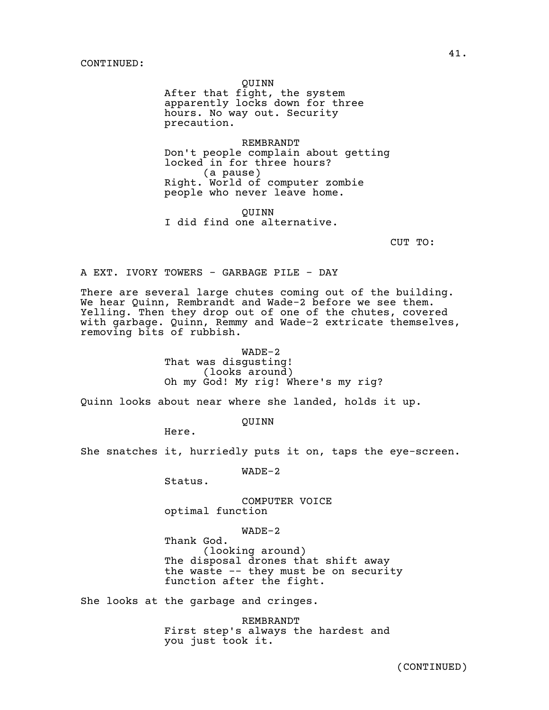QUINN

After that fight, the system apparently locks down for three hours. No way out. Security precaution.

REMBRANDT Don't people complain about getting locked in for three hours? (a pause) Right. World of computer zombie people who never leave home.

QUINN I did find one alternative.

CUT TO:

A EXT. IVORY TOWERS - GARBAGE PILE - DAY

There are several large chutes coming out of the building. We hear Quinn, Rembrandt and Wade-2 before we see them. Yelling. Then they drop out of one of the chutes, covered with garbage. Quinn, Remmy and Wade-2 extricate themselves, removing bits of rubbish.

> WADE-2 That was disgusting! (looks around) Oh my God! My rig! Where's my rig?

Quinn looks about near where she landed, holds it up.

QUINN

Here.

She snatches it, hurriedly puts it on, taps the eye-screen.

WADE-2

Status.

COMPUTER VOICE optimal function

WADE-2

Thank God. (looking around) The disposal drones that shift away the waste -- they must be on security function after the fight.

She looks at the garbage and cringes.

REMBRANDT First step's always the hardest and you just took it.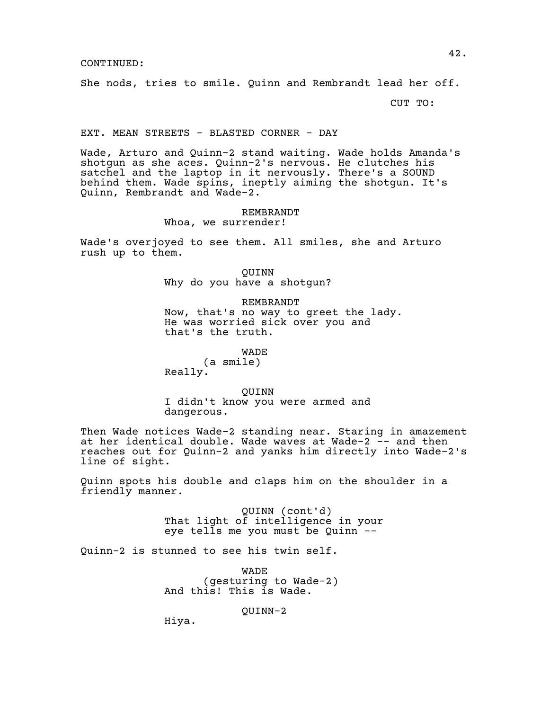She nods, tries to smile. Quinn and Rembrandt lead her off.

CUT TO:

# EXT. MEAN STREETS - BLASTED CORNER - DAY

Wade, Arturo and Quinn-2 stand waiting. Wade holds Amanda's shotgun as she aces. Quinn-2's nervous. He clutches his satchel and the laptop in it nervously. There's a SOUND behind them. Wade spins, ineptly aiming the shotgun. It's Quinn, Rembrandt and Wade-2.

# REMBRANDT

Whoa, we surrender!

Wade's overjoyed to see them. All smiles, she and Arturo rush up to them.

> QUINN Why do you have a shotgun?

REMBRANDT Now, that's no way to greet the lady. He was worried sick over you and that's the truth.

WADE

(a smile) Really.

QUINN

I didn't know you were armed and dangerous.

Then Wade notices Wade-2 standing near. Staring in amazement at her identical double. Wade waves at Wade-2 -- and then reaches out for Quinn-2 and yanks him directly into Wade-2's line of sight.

Quinn spots his double and claps him on the shoulder in a friendly manner.

> QUINN (cont'd) That light of intelligence in your eye tells me you must be Quinn --

Quinn-2 is stunned to see his twin self.

WADE (gesturing to Wade-2) And this! This is Wade.

QUINN-2

Hiya.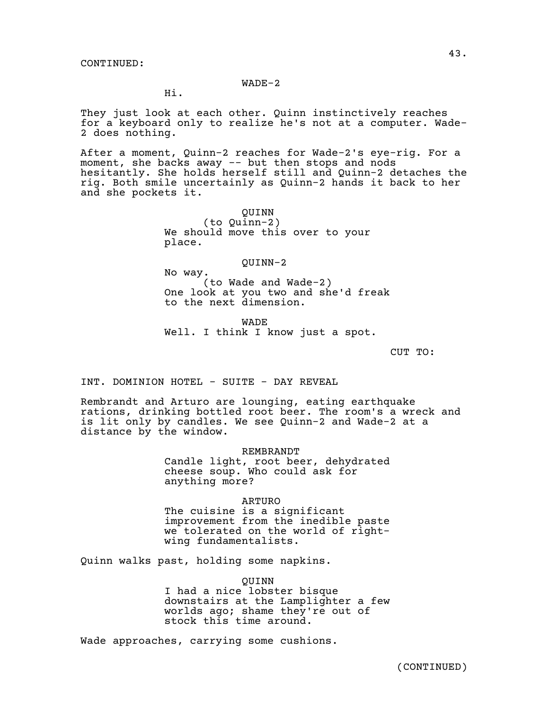# WADE-2

Hi.

They just look at each other. Quinn instinctively reaches for a keyboard only to realize he's not at a computer. Wade-2 does nothing.

After a moment, Quinn-2 reaches for Wade-2's eye-rig. For a moment, she backs away -- but then stops and nods hesitantly. She holds herself still and Quinn-2 detaches the rig. Both smile uncertainly as Quinn-2 hands it back to her and she pockets it.

> QUINN (to Quinn-2) We should move this over to your place.

> > QUINN-2

No way. (to Wade and Wade-2) One look at you two and she'd freak to the next dimension.

WADE Well. I think I know just a spot.

CUT TO:

INT. DOMINION HOTEL - SUITE - DAY REVEAL

Rembrandt and Arturo are lounging, eating earthquake rations, drinking bottled root beer. The room's a wreck and is lit only by candles. We see Quinn-2 and Wade-2 at a distance by the window.

REMBRANDT

Candle light, root beer, dehydrated cheese soup. Who could ask for anything more?

ARTURO

The cuisine is a significant improvement from the inedible paste we tolerated on the world of rightwing fundamentalists.

Quinn walks past, holding some napkins.

QUINN I had a nice lobster bisque downstairs at the Lamplighter a few worlds ago; shame they're out of stock this time around.

Wade approaches, carrying some cushions.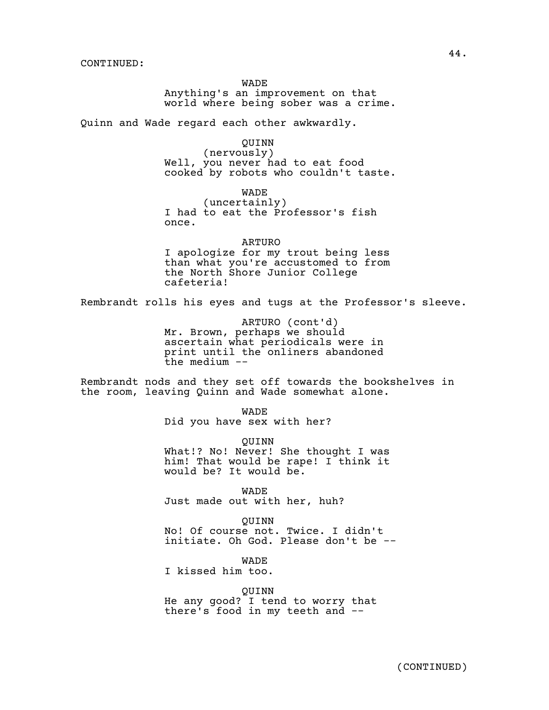WADE Anything's an improvement on that world where being sober was a crime.

Quinn and Wade regard each other awkwardly.

QUINN (nervously) Well, you never had to eat food cooked by robots who couldn't taste.

WADE (uncertainly) I had to eat the Professor's fish once.

ARTURO I apologize for my trout being less than what you're accustomed to from the North Shore Junior College cafeteria!

Rembrandt rolls his eyes and tugs at the Professor's sleeve.

ARTURO (cont'd) Mr. Brown, perhaps we should ascertain what periodicals were in print until the onliners abandoned the medium --

Rembrandt nods and they set off towards the bookshelves in the room, leaving Quinn and Wade somewhat alone.

WADE

Did you have sex with her?

QUINN What!? No! Never! She thought I was him! That would be rape! I think it would be? It would be.

WADE Just made out with her, huh?

QUINN No! Of course not. Twice. I didn't initiate. Oh God. Please don't be --

WADE

I kissed him too.

QUINN

He any good? I tend to worry that there's food in my teeth and --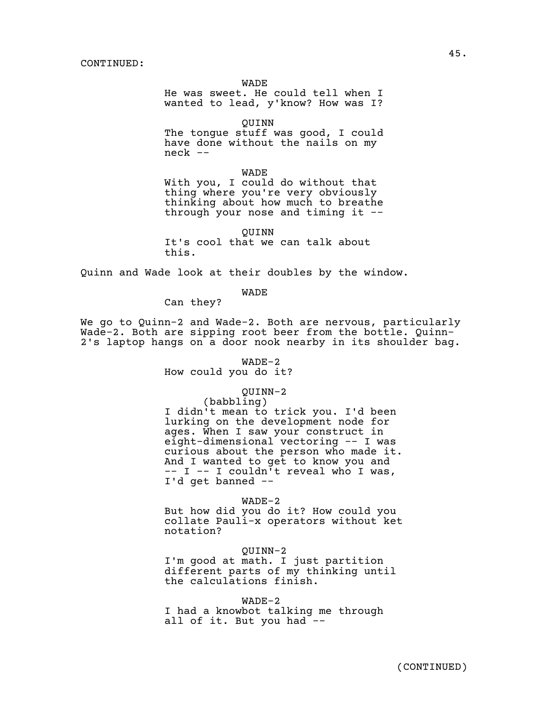WADE

He was sweet. He could tell when I wanted to lead, y'know? How was I?

QUINN The tongue stuff was good, I could have done without the nails on my neck --

WADE With you, I could do without that thing where you're very obviously thinking about how much to breathe through your nose and timing it --

QUINN It's cool that we can talk about this.

Quinn and Wade look at their doubles by the window.

WADE

Can they?

We go to Quinn-2 and Wade-2. Both are nervous, particularly Wade-2. Both are sipping root beer from the bottle. Quinn-2's laptop hangs on a door nook nearby in its shoulder bag.

WADE-2

How could you do it?

# QUINN-2

(babbling) I didn't mean to trick you. I'd been lurking on the development node for ages. When I saw your construct in eight-dimensional vectoring -- I was curious about the person who made it. And I wanted to get to know you and -- I -- I couldn't reveal who I was, I'd get banned --

WADE-2

But how did you do it? How could you collate Pauli-x operators without ket notation?

QUINN-2 I'm good at math. I just partition different parts of my thinking until the calculations finish.

WADE-2 I had a knowbot talking me through all of it. But you had --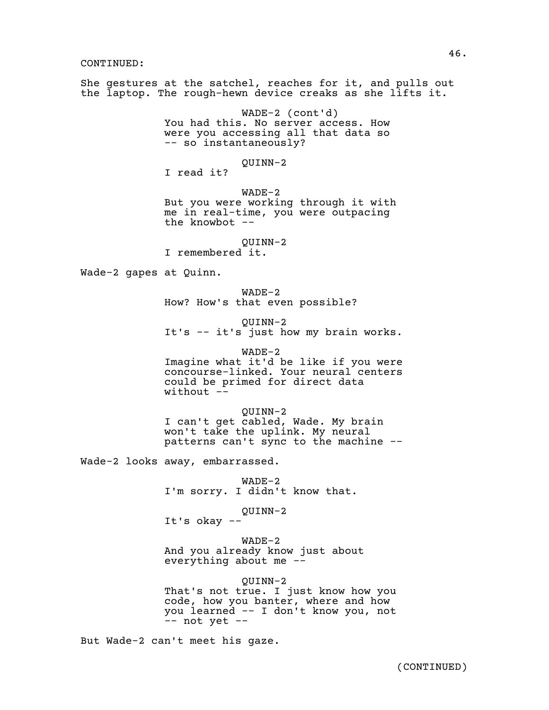She gestures at the satchel, reaches for it, and pulls out the laptop. The rough-hewn device creaks as she lifts it.

> WADE-2 (cont'd) You had this. No server access. How were you accessing all that data so -- so instantaneously?

> > QUINN-2

I read it? WADE-2

But you were working through it with me in real-time, you were outpacing the knowbot --

QUINN-2 I remembered it.

Wade-2 gapes at Quinn.

WADE-2 How? How's that even possible?

QUINN-2 It's -- it's just how my brain works.

WADE-2 Imagine what it'd be like if you were concourse-linked. Your neural centers could be primed for direct data without  $-$ 

QUINN-2 I can't get cabled, Wade. My brain won't take the uplink. My neural patterns can't sync to the machine --

Wade-2 looks away, embarrassed.

WADE-2 I'm sorry. I didn't know that.

QUINN-2

It's okay --

WADE-2

And you already know just about everything about me --

QUINN-2 That's not true. I just know how you code, how you banter, where and how you learned -- I don't know you, not  $--$  not yet  $--$ 

But Wade-2 can't meet his gaze.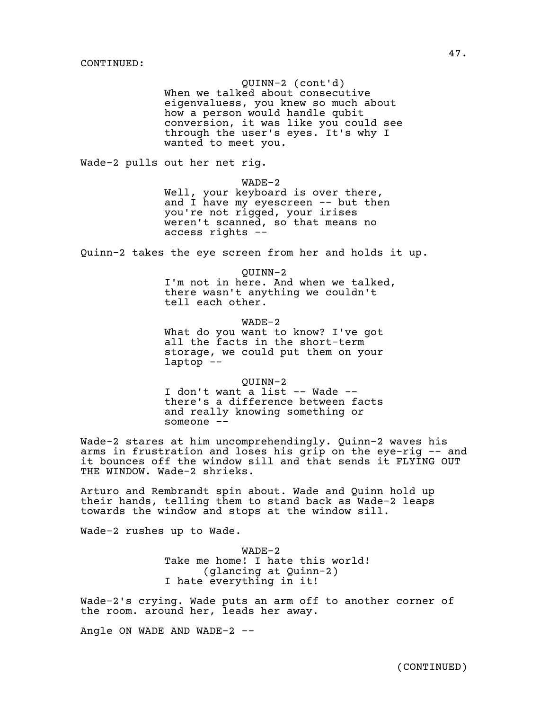QUINN-2 (cont'd) When we talked about consecutive eigenvaluess, you knew so much about how a person would handle qubit conversion, it was like you could see through the user's eyes. It's why I wanted to meet you.

Wade-2 pulls out her net rig.

WADE-2

Well, your keyboard is over there, and I have my eyescreen -- but then you're not rigged, your irises weren't scanned, so that means no access rights --

Quinn-2 takes the eye screen from her and holds it up.

QUINN-2 I'm not in here. And when we talked, there wasn't anything we couldn't tell each other.

WADE-2 What do you want to know? I've got all the facts in the short-term storage, we could put them on your laptop --

QUINN-2 I don't want a list -- Wade - there's a difference between facts and really knowing something or someone --

Wade-2 stares at him uncomprehendingly. Quinn-2 waves his arms in frustration and loses his grip on the eye-rig -- and it bounces off the window sill and that sends it FLYING OUT THE WINDOW. Wade-2 shrieks.

Arturo and Rembrandt spin about. Wade and Quinn hold up their hands, telling them to stand back as Wade-2 leaps towards the window and stops at the window sill.

Wade-2 rushes up to Wade.

WADE-2 Take me home! I hate this world! (glancing at Quinn-2) I hate everything in it!

Wade-2's crying. Wade puts an arm off to another corner of the room. around her, leads her away.

Angle ON WADE AND WADE-2 --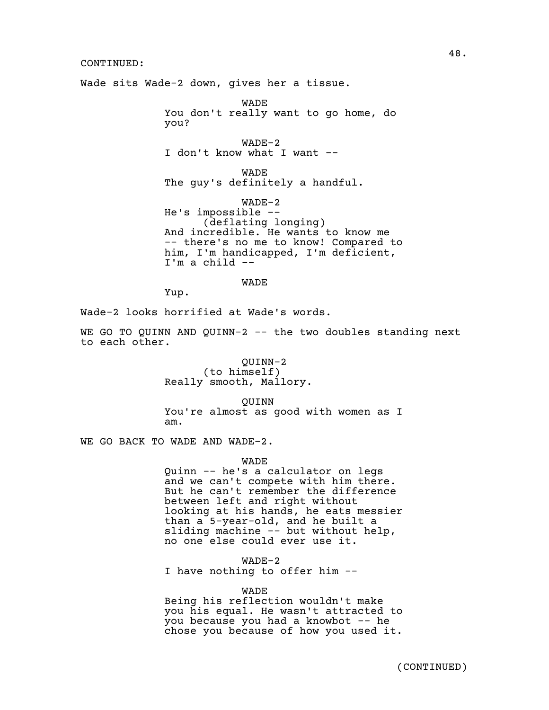Wade sits Wade-2 down, gives her a tissue.

WADE You don't really want to go home, do you?

WADE-2 I don't know what I want --

WADE The guy's definitely a handful.

WADE-2 He's impossible -- (deflating longing) And incredible. He wants to know me -- there's no me to know! Compared to him, I'm handicapped, I'm deficient, I'm a child --

WADE

Yup.

Wade-2 looks horrified at Wade's words.

WE GO TO QUINN AND QUINN-2  $-$ - the two doubles standing next to each other.

> QUINN-2 (to himself) Really smooth, Mallory.

QUINN You're almost as good with women as I am.

WE GO BACK TO WADE AND WADE-2.

WADE

Quinn -- he's a calculator on legs and we can't compete with him there. But he can't remember the difference between left and right without looking at his hands, he eats messier than a 5-year-old, and he built a sliding machine -- but without help, no one else could ever use it.

WADE-2

I have nothing to offer him --

## WADE

Being his reflection wouldn't make you his equal. He wasn't attracted to you because you had a knowbot -- he chose you because of how you used it.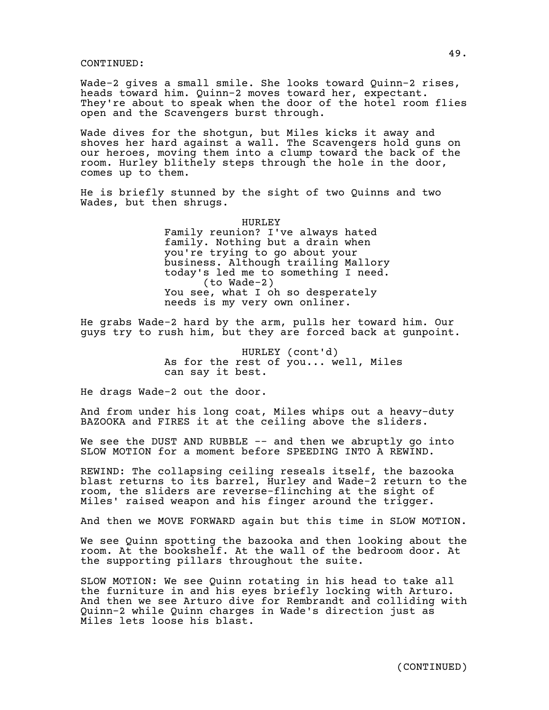Wade-2 gives a small smile. She looks toward Quinn-2 rises, heads toward him. Quinn-2 moves toward her, expectant. They're about to speak when the door of the hotel room flies open and the Scavengers burst through.

Wade dives for the shotgun, but Miles kicks it away and shoves her hard against a wall. The Scavengers hold guns on our heroes, moving them into a clump toward the back of the room. Hurley blithely steps through the hole in the door, comes up to them.

He is briefly stunned by the sight of two Quinns and two Wades, but then shrugs.

> HURLEY Family reunion? I've always hated family. Nothing but a drain when you're trying to go about your business. Although trailing Mallory today's led me to something I need. (to Wade-2) You see, what I oh so desperately needs is my very own onliner.

He grabs Wade-2 hard by the arm, pulls her toward him. Our guys try to rush him, but they are forced back at gunpoint.

> HURLEY (cont'd) As for the rest of you... well, Miles can say it best.

He drags Wade-2 out the door.

And from under his long coat, Miles whips out a heavy-duty BAZOOKA and FIRES it at the ceiling above the sliders.

We see the DUST AND RUBBLE -- and then we abruptly go into SLOW MOTION for a moment before SPEEDING INTO A REWIND.

REWIND: The collapsing ceiling reseals itself, the bazooka blast returns to its barrel, Hurley and Wade-2 return to the room, the sliders are reverse-flinching at the sight of Miles' raised weapon and his finger around the trigger.

And then we MOVE FORWARD again but this time in SLOW MOTION.

We see Quinn spotting the bazooka and then looking about the room. At the bookshelf. At the wall of the bedroom door. At the supporting pillars throughout the suite.

SLOW MOTION: We see Quinn rotating in his head to take all the furniture in and his eyes briefly locking with Arturo. And then we see Arturo dive for Rembrandt and colliding with Quinn-2 while Quinn charges in Wade's direction just as Miles lets loose his blast.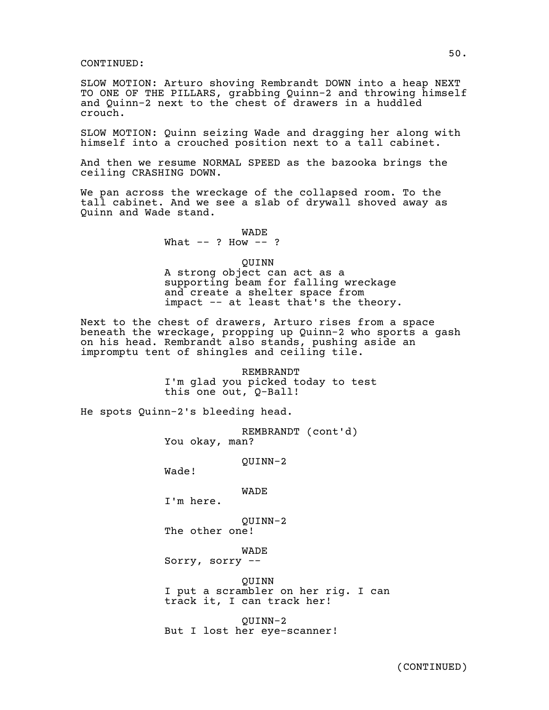SLOW MOTION: Arturo shoving Rembrandt DOWN into a heap NEXT TO ONE OF THE PILLARS, grabbing Quinn-2 and throwing himself and Quinn-2 next to the chest of drawers in a huddled crouch.

SLOW MOTION: Quinn seizing Wade and dragging her along with himself into a crouched position next to a tall cabinet.

And then we resume NORMAL SPEED as the bazooka brings the ceiling CRASHING DOWN.

We pan across the wreckage of the collapsed room. To the tall cabinet. And we see a slab of drywall shoved away as Quinn and Wade stand.

> WADE What  $--$  ? How  $--$  ?

> > QUINN

A strong object can act as a supporting beam for falling wreckage and create a shelter space from impact -- at least that's the theory.

Next to the chest of drawers, Arturo rises from a space beneath the wreckage, propping up Quinn-2 who sports a gash on his head. Rembrandt also stands, pushing aside an impromptu tent of shingles and ceiling tile.

> REMBRANDT I'm glad you picked today to test this one out, Q-Ball!

He spots Quinn-2's bleeding head.

REMBRANDT (cont'd) You okay, man?

QUINN-2

Wade!

WADE

I'm here.

QUINN-2

The other one!

WADE

Sorry, sorry --

QUINN

I put a scrambler on her rig. I can track it, I can track her!

QUINN-2 But I lost her eye-scanner!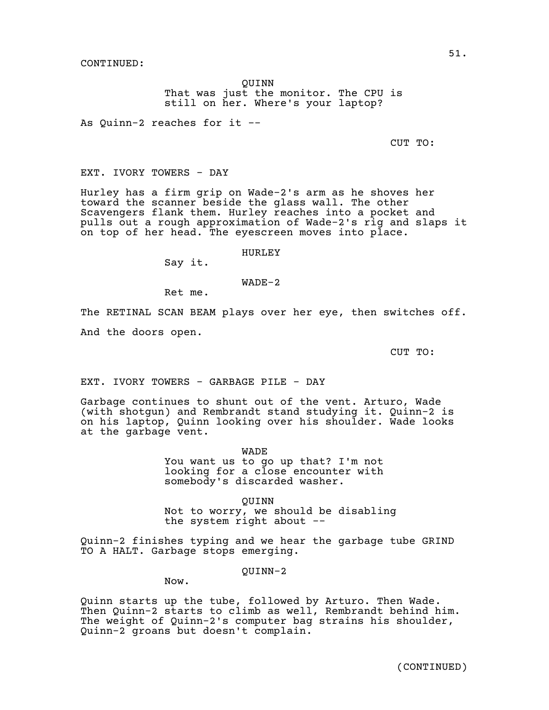QUINN That was just the monitor. The CPU is still on her. Where's your laptop?

As Quinn-2 reaches for it --

CUT TO:

EXT. IVORY TOWERS - DAY

Hurley has a firm grip on Wade-2's arm as he shoves her toward the scanner beside the glass wall. The other Scavengers flank them. Hurley reaches into a pocket and pulls out a rough approximation of Wade-2's rig and slaps it on top of her head. The eyescreen moves into place.

HURLEY

Say it.

WADE-2

Ret me.

The RETINAL SCAN BEAM plays over her eye, then switches off. And the doors open.

CUT TO:

EXT. IVORY TOWERS - GARBAGE PILE - DAY

Garbage continues to shunt out of the vent. Arturo, Wade (with shotgun) and Rembrandt stand studying it. Quinn-2 is on his laptop, Quinn looking over his shoulder. Wade looks at the garbage vent.

WADE

You want us to go up that? I'm not looking for a close encounter with somebody's discarded washer.

QUINN

Not to worry, we should be disabling the system right about --

Quinn-2 finishes typing and we hear the garbage tube GRIND TO A HALT. Garbage stops emerging.

# QUINN-2

Now.

Quinn starts up the tube, followed by Arturo. Then Wade. Then Quinn-2 starts to climb as well, Rembrandt behind him. The weight of Quinn-2's computer bag strains his shoulder, Quinn-2 groans but doesn't complain.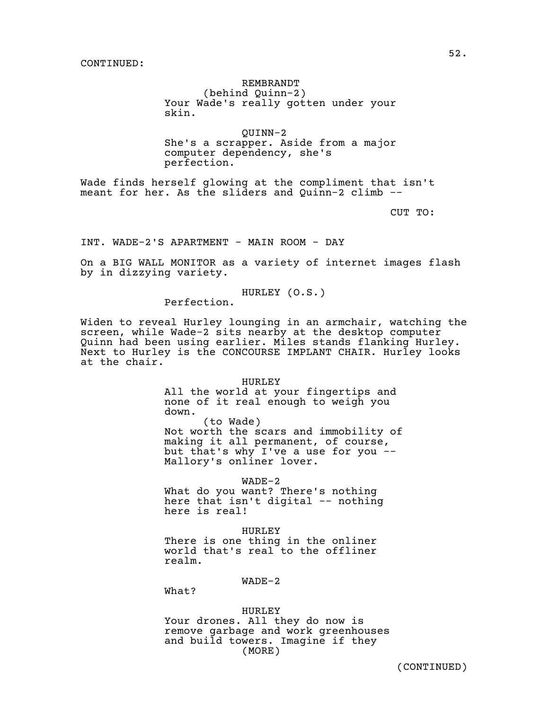#### REMBRANDT

(behind Quinn-2) Your Wade's really gotten under your skin.

QUINN-2 She's a scrapper. Aside from a major computer dependency, she's perfection.

Wade finds herself glowing at the compliment that isn't meant for her. As the sliders and Quinn-2 climb --

CUT TO:

INT. WADE-2'S APARTMENT - MAIN ROOM - DAY

On a BIG WALL MONITOR as a variety of internet images flash by in dizzying variety.

HURLEY (O.S.)

Perfection.

Widen to reveal Hurley lounging in an armchair, watching the screen, while Wade-2 sits nearby at the desktop computer Quinn had been using earlier. Miles stands flanking Hurley. Next to Hurley is the CONCOURSE IMPLANT CHAIR. Hurley looks at the chair.

#### **HURLEY**

All the world at your fingertips and none of it real enough to weigh you down. (to Wade) Not worth the scars and immobility of making it all permanent, of course, but that's why I've a use for you -- Mallory's onliner lover.

WADE-2

What do you want? There's nothing here that isn't digital -- nothing here is real!

HURLEY There is one thing in the onliner world that's real to the offliner realm.

WADE-2

What?

HURLEY Your drones. All they do now is remove garbage and work greenhouses and build towers. Imagine if they (MORE)

52.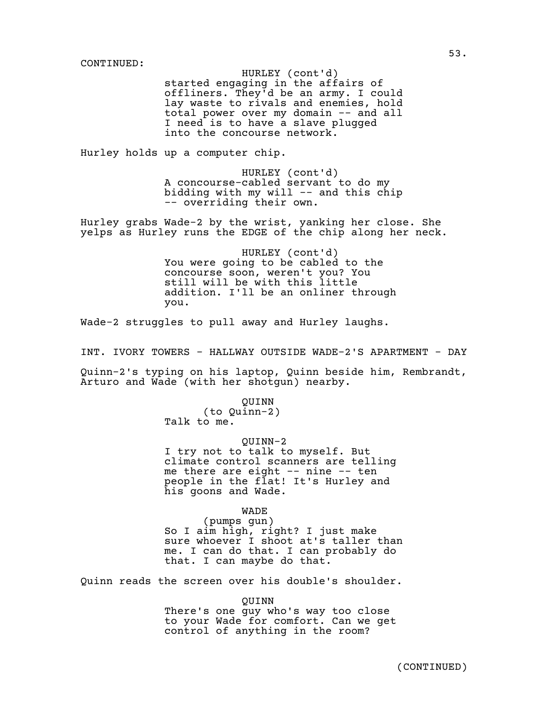HURLEY (cont'd)

started engaging in the affairs of offliners. They'd be an army. I could lay waste to rivals and enemies, hold total power over my domain -- and all I need is to have a slave plugged into the concourse network.

Hurley holds up a computer chip.

HURLEY (cont'd) A concourse-cabled servant to do my bidding with my will  $-$  and this chip -- overriding their own.

Hurley grabs Wade-2 by the wrist, yanking her close. She yelps as Hurley runs the EDGE of the chip along her neck.

> HURLEY (cont'd) You were going to be cabled to the concourse soon, weren't you? You still will be with this little addition. I'll be an onliner through you.

Wade-2 struggles to pull away and Hurley laughs.

INT. IVORY TOWERS - HALLWAY OUTSIDE WADE-2'S APARTMENT - DAY

Quinn-2's typing on his laptop, Quinn beside him, Rembrandt, Arturo and Wade (with her shotgun) nearby.

> QUINN (to Quinn-2) Talk to me.

QUINN-2 I try not to talk to myself. But climate control scanners are telling me there are eight -- nine -- ten people in the flat! It's Hurley and his goons and Wade.

> WADE (pumps gun)

So I aim high, right? I just make sure whoever I shoot at's taller than me. I can do that. I can probably do that. I can maybe do that.

Quinn reads the screen over his double's shoulder.

QUINN There's one guy who's way too close to your Wade for comfort. Can we get control of anything in the room?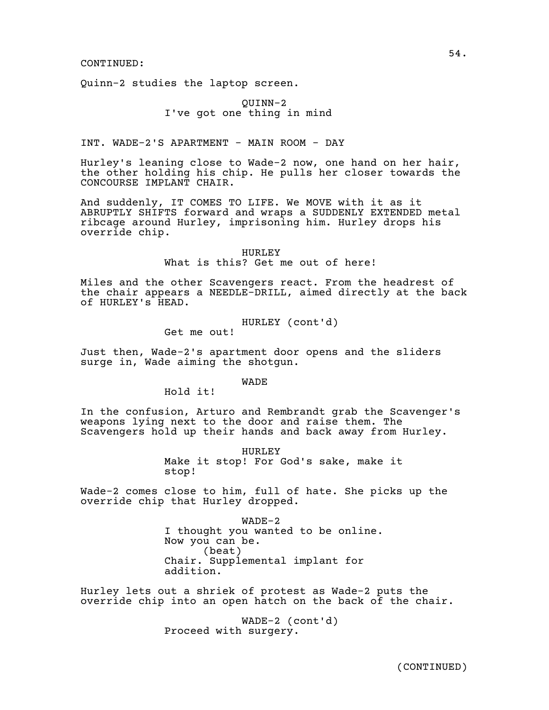Quinn-2 studies the laptop screen.

# QUINN-2 I've got one thing in mind

INT. WADE-2'S APARTMENT - MAIN ROOM - DAY

Hurley's leaning close to Wade-2 now, one hand on her hair, the other holding his chip. He pulls her closer towards the CONCOURSE IMPLANT CHAIR.

And suddenly, IT COMES TO LIFE. We MOVE with it as it ABRUPTLY SHIFTS forward and wraps a SUDDENLY EXTENDED metal ribcage around Hurley, imprisoning him. Hurley drops his override chip.

> HURLEY What is this? Get me out of here!

Miles and the other Scavengers react. From the headrest of the chair appears a NEEDLE-DRILL, aimed directly at the back of HURLEY's HEAD.

HURLEY (cont'd)

Get me out!

Just then, Wade-2's apartment door opens and the sliders surge in, Wade aiming the shotgun.

WADE

Hold it!

In the confusion, Arturo and Rembrandt grab the Scavenger's weapons lying next to the door and raise them. The Scavengers hold up their hands and back away from Hurley.

> HURLEY Make it stop! For God's sake, make it stop!

Wade-2 comes close to him, full of hate. She picks up the override chip that Hurley dropped.

> WADE-2 I thought you wanted to be online. Now you can be. (beat) Chair. Supplemental implant for addition.

Hurley lets out a shriek of protest as Wade-2 puts the override chip into an open hatch on the back of the chair.

> WADE-2 (cont'd) Proceed with surgery.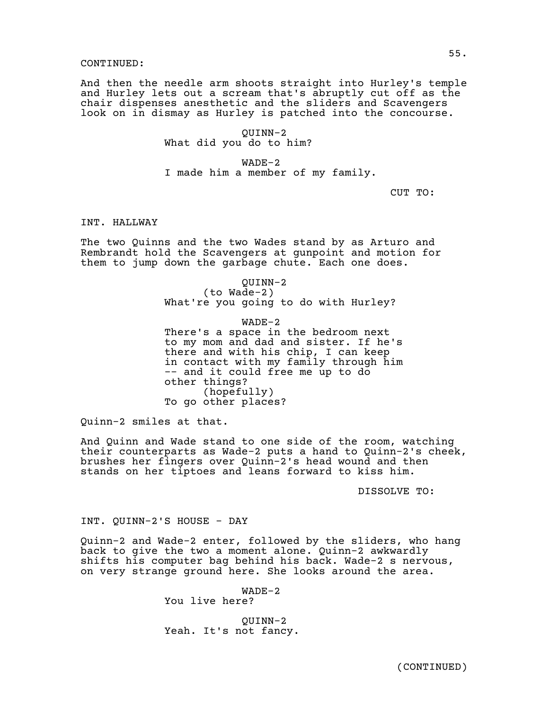And then the needle arm shoots straight into Hurley's temple and Hurley lets out a scream that's abruptly cut off as the chair dispenses anesthetic and the sliders and Scavengers look on in dismay as Hurley is patched into the concourse.

> QUINN-2 What did you do to him?

WADE-2 I made him a member of my family.

CUT TO:

# INT. HALLWAY

The two Quinns and the two Wades stand by as Arturo and Rembrandt hold the Scavengers at gunpoint and motion for them to jump down the garbage chute. Each one does.

> QUINN-2 (to Wade-2) What're you going to do with Hurley?

WADE-2 There's a space in the bedroom next to my mom and dad and sister. If he's there and with his chip, I can keep in contact with my family through him -- and it could free me up to do other things? (hopefully) To go other places?

Quinn-2 smiles at that.

And Quinn and Wade stand to one side of the room, watching their counterparts as Wade-2 puts a hand to Quinn-2's cheek, brushes her fingers over Quinn-2's head wound and then stands on her tiptoes and leans forward to kiss him.

DISSOLVE TO:

INT. QUINN-2'S HOUSE - DAY

Quinn-2 and Wade-2 enter, followed by the sliders, who hang back to give the two a moment alone. Quinn-2 awkwardly shifts his computer bag behind his back. Wade-2 s nervous, on very strange ground here. She looks around the area.

> WADE-2 You live here?

QUINN-2 Yeah. It's not fancy.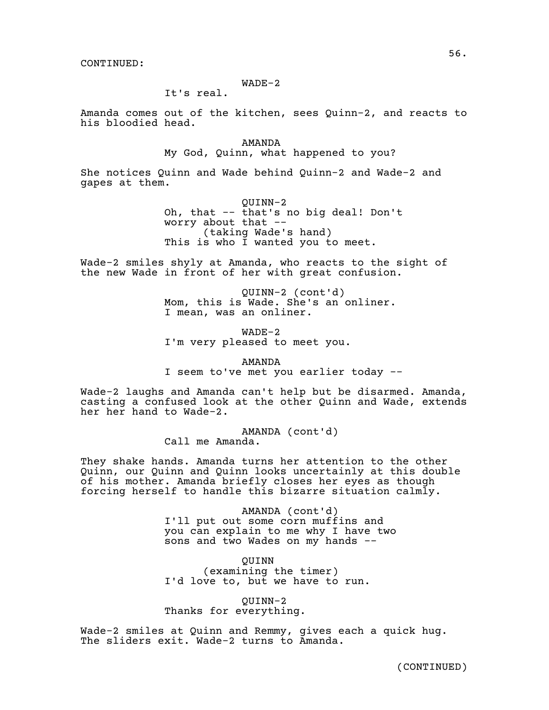# WADE-2

It's real.

Amanda comes out of the kitchen, sees Quinn-2, and reacts to his bloodied head.

> AMANDA My God, Quinn, what happened to you?

She notices Quinn and Wade behind Quinn-2 and Wade-2 and gapes at them.

> QUINN-2 Oh, that -- that's no big deal! Don't worry about that -- (taking Wade's hand) This is who I wanted you to meet.

Wade-2 smiles shyly at Amanda, who reacts to the sight of the new Wade in front of her with great confusion.

> QUINN-2 (cont'd) Mom, this is Wade. She's an onliner. I mean, was an onliner.

WADE-2 I'm very pleased to meet you.

AMANDA I seem to've met you earlier today --

Wade-2 laughs and Amanda can't help but be disarmed. Amanda, casting a confused look at the other Quinn and Wade, extends her her hand to Wade-2.

> AMANDA (cont'd) Call me Amanda.

They shake hands. Amanda turns her attention to the other Quinn, our Quinn and Quinn looks uncertainly at this double of his mother. Amanda briefly closes her eyes as though forcing herself to handle this bizarre situation calmly.

> AMANDA (cont'd) I'll put out some corn muffins and you can explain to me why I have two sons and two Wades on my hands --

QUINN (examining the timer) I'd love to, but we have to run.

QUINN-2 Thanks for everything.

Wade-2 smiles at Quinn and Remmy, gives each a quick hug. The sliders exit. Wade-2 turns to Amanda.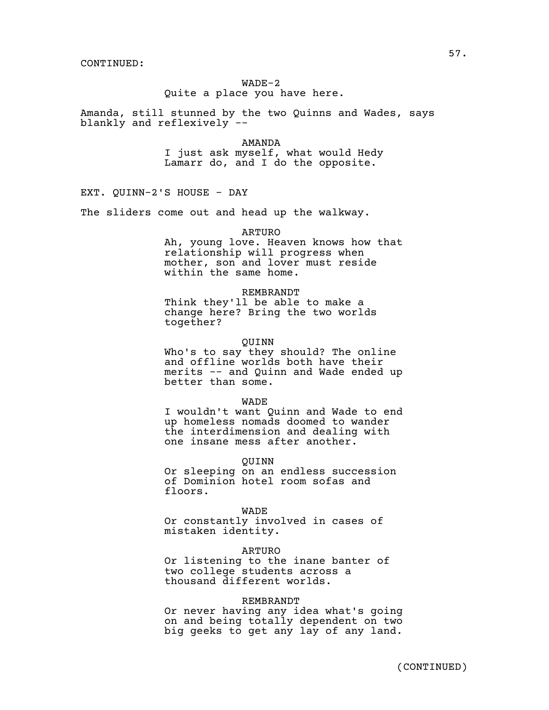# WADE-2 Quite a place you have here.

Amanda, still stunned by the two Quinns and Wades, says blankly and reflexively --

> AMANDA I just ask myself, what would Hedy Lamarr do, and I do the opposite.

EXT. QUINN-2'S HOUSE - DAY

The sliders come out and head up the walkway.

ARTURO

Ah, young love. Heaven knows how that relationship will progress when mother, son and lover must reside within the same home.

#### REMBRANDT

Think they'll be able to make a change here? Bring the two worlds together?

#### QUINN

Who's to say they should? The online and offline worlds both have their merits -- and Quinn and Wade ended up better than some.

#### WADE

I wouldn't want Quinn and Wade to end up homeless nomads doomed to wander the interdimension and dealing with one insane mess after another.

QUINN

Or sleeping on an endless succession of Dominion hotel room sofas and floors.

#### WADE

Or constantly involved in cases of mistaken identity.

#### ARTURO

Or listening to the inane banter of two college students across a thousand different worlds.

#### REMBRANDT

Or never having any idea what's going on and being totally dependent on two big geeks to get any lay of any land.